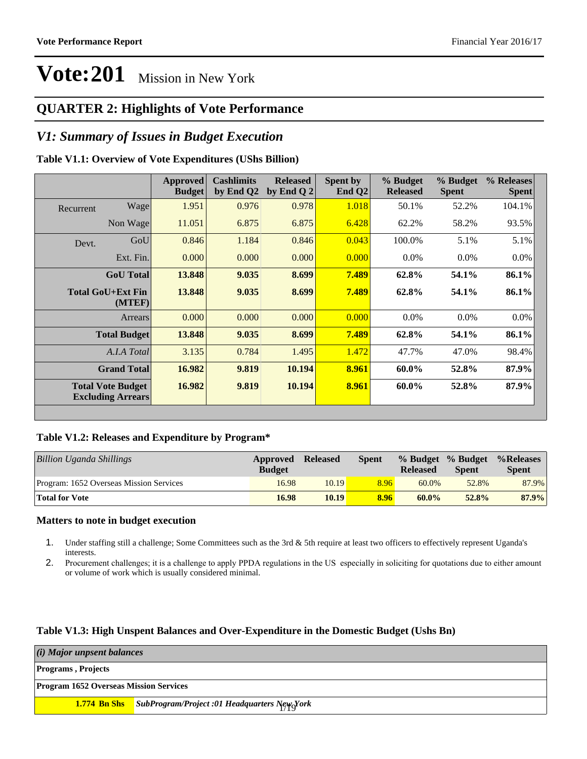### **QUARTER 2: Highlights of Vote Performance**

### *V1: Summary of Issues in Budget Execution*

#### **Table V1.1: Overview of Vote Expenditures (UShs Billion)**

|           |                                                      | Approved<br><b>Budget</b> | <b>Cashlimits</b><br>by End Q2 | <b>Released</b><br>by End Q $2$ | Spent by<br>End $Q2$ | % Budget<br><b>Released</b> | % Budget<br><b>Spent</b> | % Releases<br><b>Spent</b> |
|-----------|------------------------------------------------------|---------------------------|--------------------------------|---------------------------------|----------------------|-----------------------------|--------------------------|----------------------------|
| Recurrent | Wage                                                 | 1.951                     | 0.976                          | 0.978                           | 1.018                | 50.1%                       | 52.2%                    | 104.1%                     |
|           | Non Wage                                             | 11.051                    | 6.875                          | 6.875                           | 6.428                | 62.2%                       | 58.2%                    | 93.5%                      |
| Devt.     | GoU                                                  | 0.846                     | 1.184                          | 0.846                           | 0.043                | 100.0%                      | 5.1%                     | 5.1%                       |
|           | Ext. Fin.                                            | 0.000                     | 0.000                          | 0.000                           | 0.000                | $0.0\%$                     | $0.0\%$                  | $0.0\%$                    |
|           | <b>GoU</b> Total                                     | 13.848                    | 9.035                          | 8.699                           | 7.489                | 62.8%                       | 54.1%                    | 86.1%                      |
|           | Total GoU+Ext Fin<br>(MTEF)                          | 13.848                    | 9.035                          | 8.699                           | 7.489                | 62.8%                       | 54.1%                    | 86.1%                      |
|           | Arrears                                              | 0.000                     | 0.000                          | 0.000                           | 0.000                | $0.0\%$                     | $0.0\%$                  | $0.0\%$                    |
|           | <b>Total Budget</b>                                  | 13.848                    | 9.035                          | 8.699                           | 7.489                | 62.8%                       | 54.1%                    | 86.1%                      |
|           | A.I.A Total                                          | 3.135                     | 0.784                          | 1.495                           | 1.472                | 47.7%                       | 47.0%                    | 98.4%                      |
|           | <b>Grand Total</b>                                   | 16.982                    | 9.819                          | 10.194                          | 8.961                | 60.0%                       | 52.8%                    | 87.9%                      |
|           | <b>Total Vote Budget</b><br><b>Excluding Arrears</b> | 16.982                    | 9.819                          | 10.194                          | 8.961                | 60.0%                       | 52.8%                    | 87.9%                      |

#### **Table V1.2: Releases and Expenditure by Program\***

| Billion Uganda Shillings                | Approved<br><b>Budget</b> | <b>Released</b> | <b>Spent</b> | <b>Released</b> | % Budget % Budget<br><b>Spent</b> | %Releases<br><b>Spent</b> |
|-----------------------------------------|---------------------------|-----------------|--------------|-----------------|-----------------------------------|---------------------------|
| Program: 1652 Overseas Mission Services | 16.98                     | 10.19           | 8.96         | $60.0\%$        | 52.8%                             | 87.9%                     |
| <b>Total for Vote</b>                   | 16.98                     | 10.19           | 8.96         | $60.0\%$        | 52.8%                             | 87.9%                     |

#### **Matters to note in budget execution**

- 1. Under staffing still a challenge; Some Committees such as the 3rd & 5th require at least two officers to effectively represent Uganda's interests.
- 2. Procurement challenges; it is a challenge to apply PPDA regulations in the US especially in soliciting for quotations due to either amount or volume of work which is usually considered minimal.

#### **Table V1.3: High Unspent Balances and Over-Expenditure in the Domestic Budget (Ushs Bn)**

| (i) Major unpsent balances                    |                                                                  |  |  |  |
|-----------------------------------------------|------------------------------------------------------------------|--|--|--|
| <b>Programs</b> , Projects                    |                                                                  |  |  |  |
| <b>Program 1652 Overseas Mission Services</b> |                                                                  |  |  |  |
|                                               | <b>1.774 Bn Shs</b> SubProgram/Project :01 Headquarters New York |  |  |  |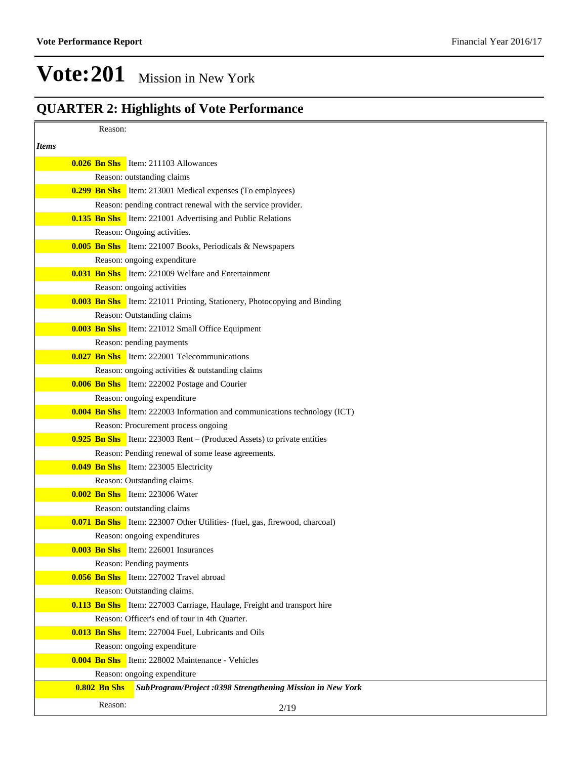### **QUARTER 2: Highlights of Vote Performance**

| Reason:<br><i>Items</i><br><b>0.026 Bn Shs</b> Item: 211103 Allowances<br>Reason: outstanding claims<br><b>0.299 Bn Shs</b> Item: 213001 Medical expenses (To employees)<br>Reason: pending contract renewal with the service provider.<br><b>0.135 Bn Shs</b> Item: 221001 Advertising and Public Relations<br>Reason: Ongoing activities.<br><b>0.005 Bn Shs</b> Item: 221007 Books, Periodicals & Newspapers<br>Reason: ongoing expenditure<br><b>0.031 Bn Shs</b> Item: 221009 Welfare and Entertainment<br>Reason: ongoing activities<br><b>0.003 Bn Shs</b> Item: 221011 Printing, Stationery, Photocopying and Binding<br>Reason: Outstanding claims<br><b>0.003 Bn Shs</b> Item: 221012 Small Office Equipment<br>Reason: pending payments<br><b>0.027 Bn Shs</b> Item: 222001 Telecommunications<br>Reason: ongoing activities & outstanding claims<br><b>0.006 Bn Shs</b> Item: 222002 Postage and Courier<br>Reason: ongoing expenditure<br><b>0.004 Bn Shs</b> Item: 222003 Information and communications technology (ICT)<br>Reason: Procurement process ongoing<br><b>0.925 Bn Shs</b> Item: 223003 Rent – (Produced Assets) to private entities<br>Reason: Pending renewal of some lease agreements.<br><b>0.049 Bn Shs</b> Item: 223005 Electricity<br>Reason: Outstanding claims.<br><b>0.002 Bn Shs</b> Item: 223006 Water<br>Reason: outstanding claims<br><b>0.071 Bn Shs</b> Item: 223007 Other Utilities- (fuel, gas, firewood, charcoal)<br>Reason: ongoing expenditures<br><b>0.003 Bn Shs</b> Item: 226001 Insurances<br>Reason: Pending payments<br><b>0.056 Bn Shs</b> Item: 227002 Travel abroad<br>Reason: Outstanding claims.<br><b>0.113 Bn Shs</b> Item: 227003 Carriage, Haulage, Freight and transport hire<br>Reason: Officer's end of tour in 4th Quarter.<br><b>0.013 Bn Shs</b> Item: 227004 Fuel, Lubricants and Oils<br>Reason: ongoing expenditure<br><b>0.004 Bn Shs</b> Item: 228002 Maintenance - Vehicles<br>Reason: ongoing expenditure<br><b>0.802 Bn Shs</b><br>SubProgram/Project :0398 Strengthening Mission in New York<br>Reason:<br>2/19 |  |  |
|------------------------------------------------------------------------------------------------------------------------------------------------------------------------------------------------------------------------------------------------------------------------------------------------------------------------------------------------------------------------------------------------------------------------------------------------------------------------------------------------------------------------------------------------------------------------------------------------------------------------------------------------------------------------------------------------------------------------------------------------------------------------------------------------------------------------------------------------------------------------------------------------------------------------------------------------------------------------------------------------------------------------------------------------------------------------------------------------------------------------------------------------------------------------------------------------------------------------------------------------------------------------------------------------------------------------------------------------------------------------------------------------------------------------------------------------------------------------------------------------------------------------------------------------------------------------------------------------------------------------------------------------------------------------------------------------------------------------------------------------------------------------------------------------------------------------------------------------------------------------------------------------------------------------------------------------------------------------------------------------------------------------------------------------------------------------------------------------|--|--|
|                                                                                                                                                                                                                                                                                                                                                                                                                                                                                                                                                                                                                                                                                                                                                                                                                                                                                                                                                                                                                                                                                                                                                                                                                                                                                                                                                                                                                                                                                                                                                                                                                                                                                                                                                                                                                                                                                                                                                                                                                                                                                                |  |  |
|                                                                                                                                                                                                                                                                                                                                                                                                                                                                                                                                                                                                                                                                                                                                                                                                                                                                                                                                                                                                                                                                                                                                                                                                                                                                                                                                                                                                                                                                                                                                                                                                                                                                                                                                                                                                                                                                                                                                                                                                                                                                                                |  |  |
|                                                                                                                                                                                                                                                                                                                                                                                                                                                                                                                                                                                                                                                                                                                                                                                                                                                                                                                                                                                                                                                                                                                                                                                                                                                                                                                                                                                                                                                                                                                                                                                                                                                                                                                                                                                                                                                                                                                                                                                                                                                                                                |  |  |
|                                                                                                                                                                                                                                                                                                                                                                                                                                                                                                                                                                                                                                                                                                                                                                                                                                                                                                                                                                                                                                                                                                                                                                                                                                                                                                                                                                                                                                                                                                                                                                                                                                                                                                                                                                                                                                                                                                                                                                                                                                                                                                |  |  |
|                                                                                                                                                                                                                                                                                                                                                                                                                                                                                                                                                                                                                                                                                                                                                                                                                                                                                                                                                                                                                                                                                                                                                                                                                                                                                                                                                                                                                                                                                                                                                                                                                                                                                                                                                                                                                                                                                                                                                                                                                                                                                                |  |  |
|                                                                                                                                                                                                                                                                                                                                                                                                                                                                                                                                                                                                                                                                                                                                                                                                                                                                                                                                                                                                                                                                                                                                                                                                                                                                                                                                                                                                                                                                                                                                                                                                                                                                                                                                                                                                                                                                                                                                                                                                                                                                                                |  |  |
|                                                                                                                                                                                                                                                                                                                                                                                                                                                                                                                                                                                                                                                                                                                                                                                                                                                                                                                                                                                                                                                                                                                                                                                                                                                                                                                                                                                                                                                                                                                                                                                                                                                                                                                                                                                                                                                                                                                                                                                                                                                                                                |  |  |
|                                                                                                                                                                                                                                                                                                                                                                                                                                                                                                                                                                                                                                                                                                                                                                                                                                                                                                                                                                                                                                                                                                                                                                                                                                                                                                                                                                                                                                                                                                                                                                                                                                                                                                                                                                                                                                                                                                                                                                                                                                                                                                |  |  |
|                                                                                                                                                                                                                                                                                                                                                                                                                                                                                                                                                                                                                                                                                                                                                                                                                                                                                                                                                                                                                                                                                                                                                                                                                                                                                                                                                                                                                                                                                                                                                                                                                                                                                                                                                                                                                                                                                                                                                                                                                                                                                                |  |  |
|                                                                                                                                                                                                                                                                                                                                                                                                                                                                                                                                                                                                                                                                                                                                                                                                                                                                                                                                                                                                                                                                                                                                                                                                                                                                                                                                                                                                                                                                                                                                                                                                                                                                                                                                                                                                                                                                                                                                                                                                                                                                                                |  |  |
|                                                                                                                                                                                                                                                                                                                                                                                                                                                                                                                                                                                                                                                                                                                                                                                                                                                                                                                                                                                                                                                                                                                                                                                                                                                                                                                                                                                                                                                                                                                                                                                                                                                                                                                                                                                                                                                                                                                                                                                                                                                                                                |  |  |
|                                                                                                                                                                                                                                                                                                                                                                                                                                                                                                                                                                                                                                                                                                                                                                                                                                                                                                                                                                                                                                                                                                                                                                                                                                                                                                                                                                                                                                                                                                                                                                                                                                                                                                                                                                                                                                                                                                                                                                                                                                                                                                |  |  |
|                                                                                                                                                                                                                                                                                                                                                                                                                                                                                                                                                                                                                                                                                                                                                                                                                                                                                                                                                                                                                                                                                                                                                                                                                                                                                                                                                                                                                                                                                                                                                                                                                                                                                                                                                                                                                                                                                                                                                                                                                                                                                                |  |  |
|                                                                                                                                                                                                                                                                                                                                                                                                                                                                                                                                                                                                                                                                                                                                                                                                                                                                                                                                                                                                                                                                                                                                                                                                                                                                                                                                                                                                                                                                                                                                                                                                                                                                                                                                                                                                                                                                                                                                                                                                                                                                                                |  |  |
|                                                                                                                                                                                                                                                                                                                                                                                                                                                                                                                                                                                                                                                                                                                                                                                                                                                                                                                                                                                                                                                                                                                                                                                                                                                                                                                                                                                                                                                                                                                                                                                                                                                                                                                                                                                                                                                                                                                                                                                                                                                                                                |  |  |
|                                                                                                                                                                                                                                                                                                                                                                                                                                                                                                                                                                                                                                                                                                                                                                                                                                                                                                                                                                                                                                                                                                                                                                                                                                                                                                                                                                                                                                                                                                                                                                                                                                                                                                                                                                                                                                                                                                                                                                                                                                                                                                |  |  |
|                                                                                                                                                                                                                                                                                                                                                                                                                                                                                                                                                                                                                                                                                                                                                                                                                                                                                                                                                                                                                                                                                                                                                                                                                                                                                                                                                                                                                                                                                                                                                                                                                                                                                                                                                                                                                                                                                                                                                                                                                                                                                                |  |  |
|                                                                                                                                                                                                                                                                                                                                                                                                                                                                                                                                                                                                                                                                                                                                                                                                                                                                                                                                                                                                                                                                                                                                                                                                                                                                                                                                                                                                                                                                                                                                                                                                                                                                                                                                                                                                                                                                                                                                                                                                                                                                                                |  |  |
|                                                                                                                                                                                                                                                                                                                                                                                                                                                                                                                                                                                                                                                                                                                                                                                                                                                                                                                                                                                                                                                                                                                                                                                                                                                                                                                                                                                                                                                                                                                                                                                                                                                                                                                                                                                                                                                                                                                                                                                                                                                                                                |  |  |
|                                                                                                                                                                                                                                                                                                                                                                                                                                                                                                                                                                                                                                                                                                                                                                                                                                                                                                                                                                                                                                                                                                                                                                                                                                                                                                                                                                                                                                                                                                                                                                                                                                                                                                                                                                                                                                                                                                                                                                                                                                                                                                |  |  |
|                                                                                                                                                                                                                                                                                                                                                                                                                                                                                                                                                                                                                                                                                                                                                                                                                                                                                                                                                                                                                                                                                                                                                                                                                                                                                                                                                                                                                                                                                                                                                                                                                                                                                                                                                                                                                                                                                                                                                                                                                                                                                                |  |  |
|                                                                                                                                                                                                                                                                                                                                                                                                                                                                                                                                                                                                                                                                                                                                                                                                                                                                                                                                                                                                                                                                                                                                                                                                                                                                                                                                                                                                                                                                                                                                                                                                                                                                                                                                                                                                                                                                                                                                                                                                                                                                                                |  |  |
|                                                                                                                                                                                                                                                                                                                                                                                                                                                                                                                                                                                                                                                                                                                                                                                                                                                                                                                                                                                                                                                                                                                                                                                                                                                                                                                                                                                                                                                                                                                                                                                                                                                                                                                                                                                                                                                                                                                                                                                                                                                                                                |  |  |
|                                                                                                                                                                                                                                                                                                                                                                                                                                                                                                                                                                                                                                                                                                                                                                                                                                                                                                                                                                                                                                                                                                                                                                                                                                                                                                                                                                                                                                                                                                                                                                                                                                                                                                                                                                                                                                                                                                                                                                                                                                                                                                |  |  |
|                                                                                                                                                                                                                                                                                                                                                                                                                                                                                                                                                                                                                                                                                                                                                                                                                                                                                                                                                                                                                                                                                                                                                                                                                                                                                                                                                                                                                                                                                                                                                                                                                                                                                                                                                                                                                                                                                                                                                                                                                                                                                                |  |  |
|                                                                                                                                                                                                                                                                                                                                                                                                                                                                                                                                                                                                                                                                                                                                                                                                                                                                                                                                                                                                                                                                                                                                                                                                                                                                                                                                                                                                                                                                                                                                                                                                                                                                                                                                                                                                                                                                                                                                                                                                                                                                                                |  |  |
|                                                                                                                                                                                                                                                                                                                                                                                                                                                                                                                                                                                                                                                                                                                                                                                                                                                                                                                                                                                                                                                                                                                                                                                                                                                                                                                                                                                                                                                                                                                                                                                                                                                                                                                                                                                                                                                                                                                                                                                                                                                                                                |  |  |
|                                                                                                                                                                                                                                                                                                                                                                                                                                                                                                                                                                                                                                                                                                                                                                                                                                                                                                                                                                                                                                                                                                                                                                                                                                                                                                                                                                                                                                                                                                                                                                                                                                                                                                                                                                                                                                                                                                                                                                                                                                                                                                |  |  |
|                                                                                                                                                                                                                                                                                                                                                                                                                                                                                                                                                                                                                                                                                                                                                                                                                                                                                                                                                                                                                                                                                                                                                                                                                                                                                                                                                                                                                                                                                                                                                                                                                                                                                                                                                                                                                                                                                                                                                                                                                                                                                                |  |  |
|                                                                                                                                                                                                                                                                                                                                                                                                                                                                                                                                                                                                                                                                                                                                                                                                                                                                                                                                                                                                                                                                                                                                                                                                                                                                                                                                                                                                                                                                                                                                                                                                                                                                                                                                                                                                                                                                                                                                                                                                                                                                                                |  |  |
|                                                                                                                                                                                                                                                                                                                                                                                                                                                                                                                                                                                                                                                                                                                                                                                                                                                                                                                                                                                                                                                                                                                                                                                                                                                                                                                                                                                                                                                                                                                                                                                                                                                                                                                                                                                                                                                                                                                                                                                                                                                                                                |  |  |
|                                                                                                                                                                                                                                                                                                                                                                                                                                                                                                                                                                                                                                                                                                                                                                                                                                                                                                                                                                                                                                                                                                                                                                                                                                                                                                                                                                                                                                                                                                                                                                                                                                                                                                                                                                                                                                                                                                                                                                                                                                                                                                |  |  |
|                                                                                                                                                                                                                                                                                                                                                                                                                                                                                                                                                                                                                                                                                                                                                                                                                                                                                                                                                                                                                                                                                                                                                                                                                                                                                                                                                                                                                                                                                                                                                                                                                                                                                                                                                                                                                                                                                                                                                                                                                                                                                                |  |  |
|                                                                                                                                                                                                                                                                                                                                                                                                                                                                                                                                                                                                                                                                                                                                                                                                                                                                                                                                                                                                                                                                                                                                                                                                                                                                                                                                                                                                                                                                                                                                                                                                                                                                                                                                                                                                                                                                                                                                                                                                                                                                                                |  |  |
|                                                                                                                                                                                                                                                                                                                                                                                                                                                                                                                                                                                                                                                                                                                                                                                                                                                                                                                                                                                                                                                                                                                                                                                                                                                                                                                                                                                                                                                                                                                                                                                                                                                                                                                                                                                                                                                                                                                                                                                                                                                                                                |  |  |
|                                                                                                                                                                                                                                                                                                                                                                                                                                                                                                                                                                                                                                                                                                                                                                                                                                                                                                                                                                                                                                                                                                                                                                                                                                                                                                                                                                                                                                                                                                                                                                                                                                                                                                                                                                                                                                                                                                                                                                                                                                                                                                |  |  |
|                                                                                                                                                                                                                                                                                                                                                                                                                                                                                                                                                                                                                                                                                                                                                                                                                                                                                                                                                                                                                                                                                                                                                                                                                                                                                                                                                                                                                                                                                                                                                                                                                                                                                                                                                                                                                                                                                                                                                                                                                                                                                                |  |  |
|                                                                                                                                                                                                                                                                                                                                                                                                                                                                                                                                                                                                                                                                                                                                                                                                                                                                                                                                                                                                                                                                                                                                                                                                                                                                                                                                                                                                                                                                                                                                                                                                                                                                                                                                                                                                                                                                                                                                                                                                                                                                                                |  |  |
|                                                                                                                                                                                                                                                                                                                                                                                                                                                                                                                                                                                                                                                                                                                                                                                                                                                                                                                                                                                                                                                                                                                                                                                                                                                                                                                                                                                                                                                                                                                                                                                                                                                                                                                                                                                                                                                                                                                                                                                                                                                                                                |  |  |
|                                                                                                                                                                                                                                                                                                                                                                                                                                                                                                                                                                                                                                                                                                                                                                                                                                                                                                                                                                                                                                                                                                                                                                                                                                                                                                                                                                                                                                                                                                                                                                                                                                                                                                                                                                                                                                                                                                                                                                                                                                                                                                |  |  |
|                                                                                                                                                                                                                                                                                                                                                                                                                                                                                                                                                                                                                                                                                                                                                                                                                                                                                                                                                                                                                                                                                                                                                                                                                                                                                                                                                                                                                                                                                                                                                                                                                                                                                                                                                                                                                                                                                                                                                                                                                                                                                                |  |  |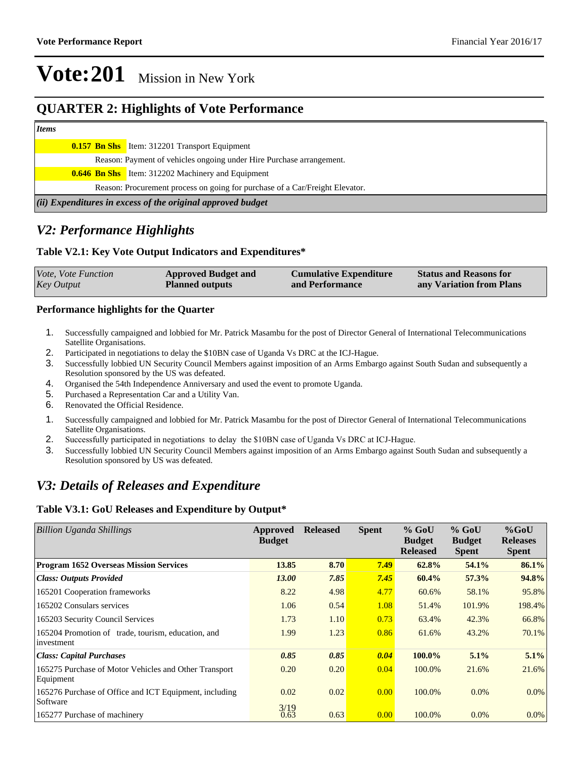### **QUARTER 2: Highlights of Vote Performance**

#### *Items*

| (ii) Expenditures in excess of the original approved budget |                                                                              |  |  |  |
|-------------------------------------------------------------|------------------------------------------------------------------------------|--|--|--|
|                                                             | Reason: Procurement process on going for purchase of a Car/Freight Elevator. |  |  |  |
|                                                             | <b>0.646 Bn Shs</b> Item: 312202 Machinery and Equipment                     |  |  |  |
|                                                             | Reason: Payment of vehicles ongoing under Hire Purchase arrangement.         |  |  |  |
|                                                             | <b>0.157 Bn Shs</b> Item: 312201 Transport Equipment                         |  |  |  |
|                                                             |                                                                              |  |  |  |

### *V2: Performance Highlights*

#### **Table V2.1: Key Vote Output Indicators and Expenditures\***

| <i>Vote, Vote Function</i> | <b>Approved Budget and</b> | <b>Cumulative Expenditure</b> | <b>Status and Reasons for</b> |
|----------------------------|----------------------------|-------------------------------|-------------------------------|
| <b>Key Output</b>          | <b>Planned outputs</b>     | and Performance               | any Variation from Plans      |

#### **Performance highlights for the Quarter**

- 1. Successfully campaigned and lobbied for Mr. Patrick Masambu for the post of Director General of International Telecommunications Satellite Organisations.
- 2. Participated in negotiations to delay the \$10BN case of Uganda Vs DRC at the ICJ-Hague.
- 3. Successfully lobbied UN Security Council Members against imposition of an Arms Embargo against South Sudan and subsequently a Resolution sponsored by the US was defeated.
- 4. Organised the 54th Independence Anniversary and used the event to promote Uganda.
- 5. Purchased a Representation Car and a Utility Van.
- 6. Renovated the Official Residence.
- 1. Successfully campaigned and lobbied for Mr. Patrick Masambu for the post of Director General of International Telecommunications Satellite Organisations.
- 2. Successfully participated in negotiations to delay the \$10BN case of Uganda Vs DRC at ICJ-Hague.
- 3. Successfully lobbied UN Security Council Members against imposition of an Arms Embargo against South Sudan and subsequently a Resolution sponsored by US was defeated.

### *V3: Details of Releases and Expenditure*

#### **Table V3.1: GoU Releases and Expenditure by Output\***

| <b>Billion Uganda Shillings</b>                                    | Approved<br><b>Budget</b> | <b>Released</b> | <b>Spent</b> | $%$ GoU<br><b>Budget</b><br><b>Released</b> | $%$ GoU<br><b>Budget</b><br><b>Spent</b> | $%$ GoU<br><b>Releases</b><br><b>Spent</b> |
|--------------------------------------------------------------------|---------------------------|-----------------|--------------|---------------------------------------------|------------------------------------------|--------------------------------------------|
| <b>Program 1652 Overseas Mission Services</b>                      | 13.85                     | 8.70            | 7.49         | 62.8%                                       | 54.1%                                    | 86.1%                                      |
| <b>Class: Outputs Provided</b>                                     | <b>13.00</b>              | 7.85            | 7.45         | 60.4%                                       | 57.3%                                    | 94.8%                                      |
| 165201 Cooperation frameworks                                      | 8.22                      | 4.98            | 4.77         | 60.6%                                       | 58.1%                                    | 95.8%                                      |
| 165202 Consulars services                                          | 1.06                      | 0.54            | 1.08         | 51.4%                                       | 101.9%                                   | 198.4%                                     |
| 165203 Security Council Services                                   | 1.73                      | 1.10            | 0.73         | 63.4%                                       | 42.3%                                    | 66.8%                                      |
| 165204 Promotion of trade, tourism, education, and<br>investment   | 1.99                      | 1.23            | 0.86         | 61.6%                                       | 43.2%                                    | 70.1%                                      |
| <b>Class: Capital Purchases</b>                                    | 0.85                      | 0.85            | 0.04         | 100.0%                                      | 5.1%                                     | 5.1%                                       |
| 165275 Purchase of Motor Vehicles and Other Transport<br>Equipment | 0.20                      | 0.20            | 0.04         | 100.0%                                      | 21.6%                                    | 21.6%                                      |
| 165276 Purchase of Office and ICT Equipment, including<br>Software | 0.02                      | 0.02            | 0.00         | 100.0%                                      | $0.0\%$                                  | $0.0\%$                                    |
| 165277 Purchase of machinery                                       | 3/19<br>0.63              | 0.63            | 0.00         | 100.0%                                      | $0.0\%$                                  | $0.0\%$                                    |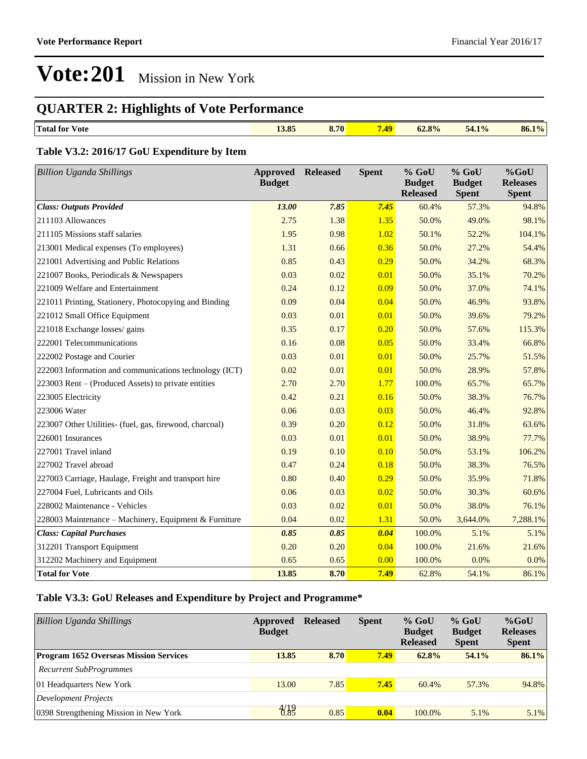## **QUARTER 2: Highlights of Vote Performance**

| $\overline{\phantom{a}}$<br>$\sim$ $\sim$ $\approx$<br>$\sim -$<br>10/6<br>Total for<br>$Q_0$<br>70<br>V ote<br>54. I<br>04.070<br>19.05<br>$\mathbf{0}$ .<br><b>PERSONAL</b><br>.<br>___ | 10/6<br>86.1 |
|-------------------------------------------------------------------------------------------------------------------------------------------------------------------------------------------|--------------|

### **Table V3.2: 2016/17 GoU Expenditure by Item**

| <b>Billion Uganda Shillings</b>                         | <b>Approved</b><br><b>Budget</b> | <b>Released</b> | <b>Spent</b> | % GoU<br><b>Budget</b>   | $%$ GoU<br><b>Budget</b> | %GoU<br><b>Releases</b> |
|---------------------------------------------------------|----------------------------------|-----------------|--------------|--------------------------|--------------------------|-------------------------|
| <b>Class: Outputs Provided</b>                          | 13.00                            | 7.85            | 7.45         | <b>Released</b><br>60.4% | <b>Spent</b><br>57.3%    | <b>Spent</b><br>94.8%   |
| 211103 Allowances                                       | 2.75                             | 1.38            | 1.35         | 50.0%                    | 49.0%                    | 98.1%                   |
| 211105 Missions staff salaries                          | 1.95                             | 0.98            | 1.02         | 50.1%                    | 52.2%                    | 104.1%                  |
| 213001 Medical expenses (To employees)                  | 1.31                             | 0.66            | 0.36         | 50.0%                    | 27.2%                    | 54.4%                   |
| 221001 Advertising and Public Relations                 | 0.85                             | 0.43            | 0.29         | 50.0%                    | 34.2%                    | 68.3%                   |
| 221007 Books, Periodicals & Newspapers                  | 0.03                             | 0.02            | 0.01         | 50.0%                    | 35.1%                    | 70.2%                   |
| 221009 Welfare and Entertainment                        | 0.24                             | 0.12            | 0.09         | 50.0%                    | 37.0%                    | 74.1%                   |
| 221011 Printing, Stationery, Photocopying and Binding   | 0.09                             | 0.04            | 0.04         | 50.0%                    | 46.9%                    | 93.8%                   |
| 221012 Small Office Equipment                           | 0.03                             | 0.01            | 0.01         | 50.0%                    | 39.6%                    | 79.2%                   |
| 221018 Exchange losses/ gains                           | 0.35                             | 0.17            | 0.20         | 50.0%                    | 57.6%                    | 115.3%                  |
| 222001 Telecommunications                               | 0.16                             | 0.08            | 0.05         | 50.0%                    | 33.4%                    | 66.8%                   |
| 222002 Postage and Courier                              | 0.03                             | 0.01            | 0.01         | 50.0%                    | 25.7%                    | 51.5%                   |
| 222003 Information and communications technology (ICT)  | 0.02                             | 0.01            | 0.01         | 50.0%                    | 28.9%                    | 57.8%                   |
| 223003 Rent – (Produced Assets) to private entities     | 2.70                             | 2.70            | 1.77         | 100.0%                   | 65.7%                    | 65.7%                   |
| 223005 Electricity                                      | 0.42                             | 0.21            | 0.16         | 50.0%                    | 38.3%                    | 76.7%                   |
| 223006 Water                                            | 0.06                             | 0.03            | 0.03         | 50.0%                    | 46.4%                    | 92.8%                   |
| 223007 Other Utilities- (fuel, gas, firewood, charcoal) | 0.39                             | 0.20            | 0.12         | 50.0%                    | 31.8%                    | 63.6%                   |
| 226001 Insurances                                       | 0.03                             | 0.01            | 0.01         | 50.0%                    | 38.9%                    | 77.7%                   |
| 227001 Travel inland                                    | 0.19                             | 0.10            | 0.10         | 50.0%                    | 53.1%                    | 106.2%                  |
| 227002 Travel abroad                                    | 0.47                             | 0.24            | 0.18         | 50.0%                    | 38.3%                    | 76.5%                   |
| 227003 Carriage, Haulage, Freight and transport hire    | 0.80                             | 0.40            | 0.29         | 50.0%                    | 35.9%                    | 71.8%                   |
| 227004 Fuel, Lubricants and Oils                        | 0.06                             | 0.03            | 0.02         | 50.0%                    | 30.3%                    | 60.6%                   |
| 228002 Maintenance - Vehicles                           | 0.03                             | 0.02            | 0.01         | 50.0%                    | 38.0%                    | 76.1%                   |
| 228003 Maintenance - Machinery, Equipment & Furniture   | 0.04                             | 0.02            | 1.31         | 50.0%                    | 3,644.0%                 | 7,288.1%                |
| <b>Class: Capital Purchases</b>                         | 0.85                             | 0.85            | 0.04         | 100.0%                   | 5.1%                     | 5.1%                    |
| 312201 Transport Equipment                              | 0.20                             | 0.20            | 0.04         | 100.0%                   | 21.6%                    | 21.6%                   |
| 312202 Machinery and Equipment                          | 0.65                             | 0.65            | 0.00         | 100.0%                   | 0.0%                     | 0.0%                    |
| <b>Total for Vote</b>                                   | 13.85                            | 8.70            | 7.49         | 62.8%                    | 54.1%                    | 86.1%                   |

### **Table V3.3: GoU Releases and Expenditure by Project and Programme\***

| <b>Billion Uganda Shillings</b>               | Approved<br><b>Budget</b> | <b>Released</b> | <b>Spent</b> | $%$ GoU<br><b>Budget</b><br><b>Released</b> | $%$ GoU<br><b>Budget</b><br><b>Spent</b> | $%$ GoU<br><b>Releases</b><br><b>Spent</b> |
|-----------------------------------------------|---------------------------|-----------------|--------------|---------------------------------------------|------------------------------------------|--------------------------------------------|
| <b>Program 1652 Overseas Mission Services</b> | 13.85                     | 8.70            | 7.49         | 62.8%                                       | 54.1%                                    | 86.1%                                      |
| <b>Recurrent SubProgrammes</b>                |                           |                 |              |                                             |                                          |                                            |
| 01 Headquarters New York                      | 13.00                     | 7.85            | 7.45         | 60.4%                                       | 57.3%                                    | 94.8%                                      |
| Development Projects                          |                           |                 |              |                                             |                                          |                                            |
| 0398 Strengthening Mission in New York        | $\frac{4}{8}$             | 0.85            | 0.04         | 100.0%                                      | 5.1%                                     | 5.1%                                       |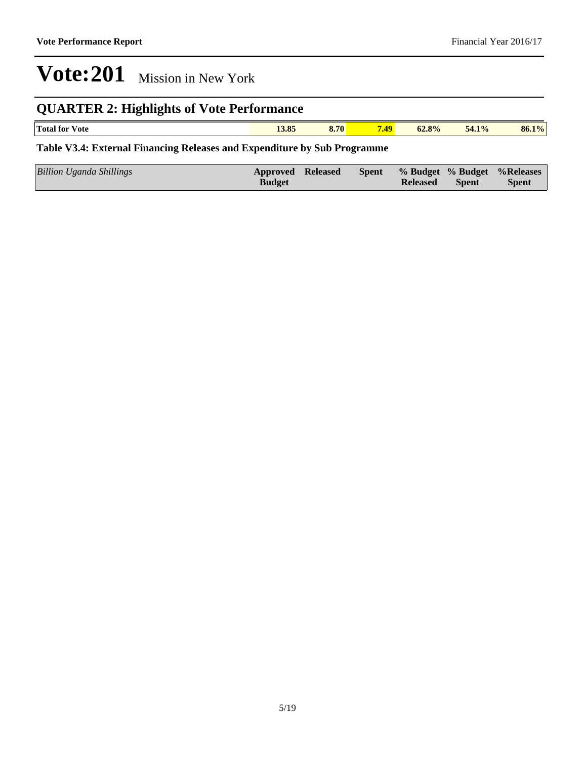## **QUARTER 2: Highlights of Vote Performance**

| <b>Total</b><br>⁄ ote<br>tor | $\sim$ $\sim$<br>19.05<br>. | 8.70 | 7.49 | 62.8%<br>. | 54.1% | 86.1% |
|------------------------------|-----------------------------|------|------|------------|-------|-------|
|                              |                             |      |      |            |       |       |

### **Table V3.4: External Financing Releases and Expenditure by Sub Programme**

| Billion Uganda Shillings<br><b>Budget</b> | Approved Released |  | <b>Released</b> | Spent | Spent % Budget % Budget % Releases<br><b>Spent</b> |
|-------------------------------------------|-------------------|--|-----------------|-------|----------------------------------------------------|
|-------------------------------------------|-------------------|--|-----------------|-------|----------------------------------------------------|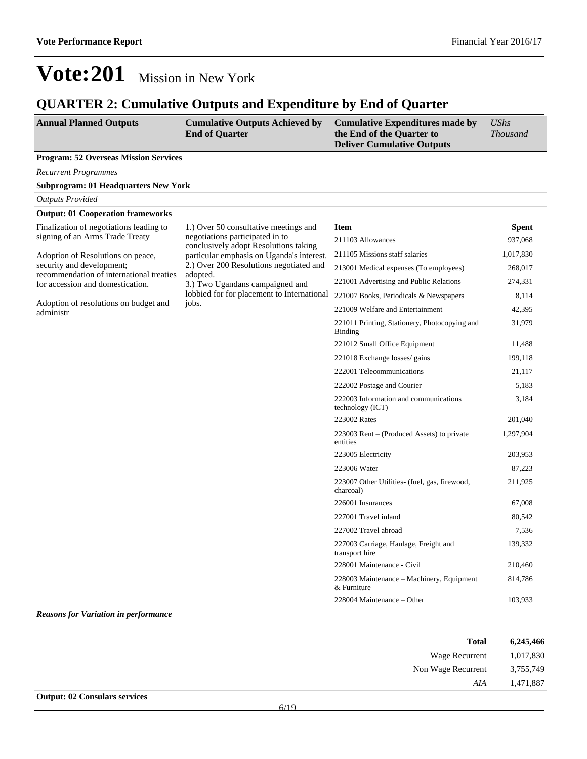222002 Postage and Courier 5,183

223002 Rates 201,040

223005 Electricity 203,953 223006 Water 87,223

226001 Insurances 67,008 227001 Travel inland 80,542 227002 Travel abroad 7,536

228001 Maintenance - Civil 210,460

 $228004$  Maintenance  $-$ Other 103,933

3,184

1,297,904

211,925

139,332

814,786

222003 Information and communications

223003 Rent - (Produced Assets) to private

223007 Other Utilities- (fuel, gas, firewood,

227003 Carriage, Haulage, Freight and

228003 Maintenance - Machinery, Equipment

technology (ICT)

entities

charcoal)

transport hire

& Furniture

## **Vote:201** Mission in New York

### **QUARTER 2: Cumulative Outputs and Expenditure by End of Quarter**

| <b>Annual Planned Outputs</b>                      | <b>Cumulative Outputs Achieved by</b><br><b>End of Quarter</b>                                                                                                                                                                                              | <b>Cumulative Expenditures made by</b><br>the End of the Quarter to<br><b>Deliver Cumulative Outputs</b> | <b>UShs</b><br><b>Thousand</b> |
|----------------------------------------------------|-------------------------------------------------------------------------------------------------------------------------------------------------------------------------------------------------------------------------------------------------------------|----------------------------------------------------------------------------------------------------------|--------------------------------|
| <b>Program: 52 Overseas Mission Services</b>       |                                                                                                                                                                                                                                                             |                                                                                                          |                                |
| <b>Recurrent Programmes</b>                        |                                                                                                                                                                                                                                                             |                                                                                                          |                                |
| <b>Subprogram: 01 Headquarters New York</b>        |                                                                                                                                                                                                                                                             |                                                                                                          |                                |
| <b>Outputs Provided</b>                            |                                                                                                                                                                                                                                                             |                                                                                                          |                                |
| <b>Output: 01 Cooperation frameworks</b>           |                                                                                                                                                                                                                                                             |                                                                                                          |                                |
| Finalization of negotiations leading to            | 1.) Over 50 consultative meetings and                                                                                                                                                                                                                       | <b>Item</b>                                                                                              | <b>Spent</b>                   |
| signing of an Arms Trade Treaty                    | negotiations participated in to<br>conclusively adopt Resolutions taking<br>particular emphasis on Uganda's interest.<br>2.) Over 200 Resolutions negotiated and<br>recommendation of international treaties<br>adopted.<br>3.) Two Ugandans campaigned and | 211103 Allowances                                                                                        | 937,068                        |
| Adoption of Resolutions on peace,                  |                                                                                                                                                                                                                                                             | 211105 Missions staff salaries                                                                           | 1,017,830                      |
| security and development;                          |                                                                                                                                                                                                                                                             | 213001 Medical expenses (To employees)                                                                   | 268,017                        |
| for accession and domestication.                   |                                                                                                                                                                                                                                                             | 221001 Advertising and Public Relations                                                                  | 274,331                        |
|                                                    | lobbied for for placement to International                                                                                                                                                                                                                  | 221007 Books, Periodicals & Newspapers                                                                   | 8,114                          |
| Adoption of resolutions on budget and<br>administr | jobs.                                                                                                                                                                                                                                                       | 221009 Welfare and Entertainment                                                                         | 42,395                         |
|                                                    |                                                                                                                                                                                                                                                             | 221011 Printing, Stationery, Photocopying and<br>Binding                                                 | 31,979                         |
|                                                    |                                                                                                                                                                                                                                                             | 221012 Small Office Equipment                                                                            | 11,488                         |
|                                                    |                                                                                                                                                                                                                                                             | 221018 Exchange losses/ gains                                                                            | 199,118                        |
|                                                    |                                                                                                                                                                                                                                                             | 222001 Telecommunications                                                                                | 21.117                         |

*Reasons for Variation in performance*

| 6,245,466 | <b>Total</b>       |
|-----------|--------------------|
| 1,017,830 | Wage Recurrent     |
| 3,755,749 | Non Wage Recurrent |
| 1,471,887 | AIA                |
|           |                    |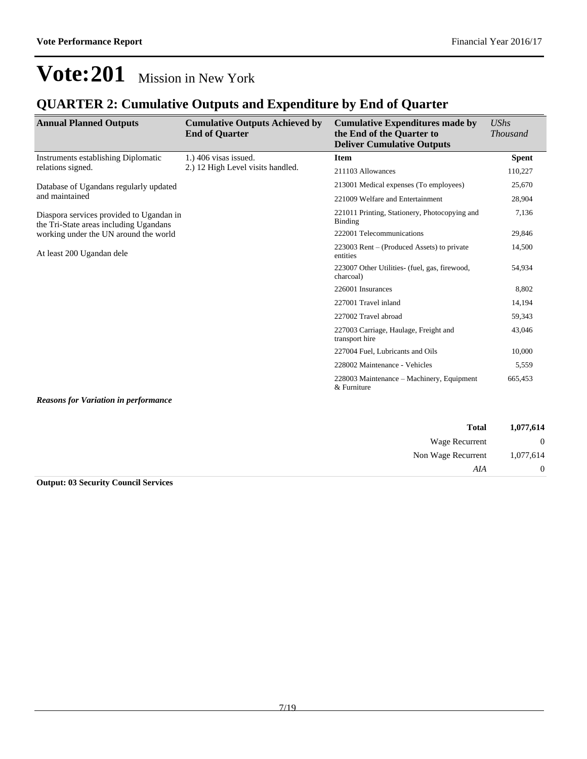### **QUARTER 2: Cumulative Outputs and Expenditure by End of Quarter**

| <b>Annual Planned Outputs</b>                                                      | <b>Cumulative Outputs Achieved by</b><br><b>End of Quarter</b> | <b>Cumulative Expenditures made by</b><br>the End of the Quarter to<br><b>Deliver Cumulative Outputs</b> | <b>UShs</b><br><b>Thousand</b> |
|------------------------------------------------------------------------------------|----------------------------------------------------------------|----------------------------------------------------------------------------------------------------------|--------------------------------|
| Instruments establishing Diplomatic                                                | $1.$ ) 406 visas issued.                                       | <b>Item</b>                                                                                              | <b>Spent</b>                   |
| relations signed.                                                                  | 2.) 12 High Level visits handled.                              | 211103 Allowances                                                                                        | 110,227                        |
| Database of Ugandans regularly updated                                             |                                                                | 213001 Medical expenses (To employees)                                                                   | 25,670                         |
| and maintained                                                                     |                                                                | 221009 Welfare and Entertainment                                                                         | 28,904                         |
| Diaspora services provided to Ugandan in<br>the Tri-State areas including Ugandans |                                                                | 221011 Printing, Stationery, Photocopying and<br>Binding                                                 | 7,136                          |
| working under the UN around the world                                              |                                                                | 222001 Telecommunications                                                                                | 29,846                         |
| At least 200 Ugandan dele                                                          |                                                                | $223003$ Rent – (Produced Assets) to private<br>entities                                                 | 14,500                         |
|                                                                                    |                                                                | 223007 Other Utilities- (fuel, gas, firewood,<br>charcoal)                                               | 54,934                         |
|                                                                                    |                                                                | 226001 Insurances                                                                                        | 8,802                          |
|                                                                                    |                                                                | 227001 Travel inland                                                                                     | 14,194                         |
|                                                                                    |                                                                | 227002 Travel abroad                                                                                     | 59,343                         |
|                                                                                    |                                                                | 227003 Carriage, Haulage, Freight and<br>transport hire                                                  | 43,046                         |
|                                                                                    |                                                                | 227004 Fuel, Lubricants and Oils                                                                         | 10,000                         |
|                                                                                    |                                                                | 228002 Maintenance - Vehicles                                                                            | 5,559                          |
|                                                                                    |                                                                | 228003 Maintenance – Machinery, Equipment<br>& Furniture                                                 | 665,453                        |
| <b>Reasons for Variation in performance</b>                                        |                                                                |                                                                                                          |                                |

| Wage Recurrent     |
|--------------------|
| Non Wage Recurrent |
|                    |
|                    |

#### **Output: 03 Security Council Services**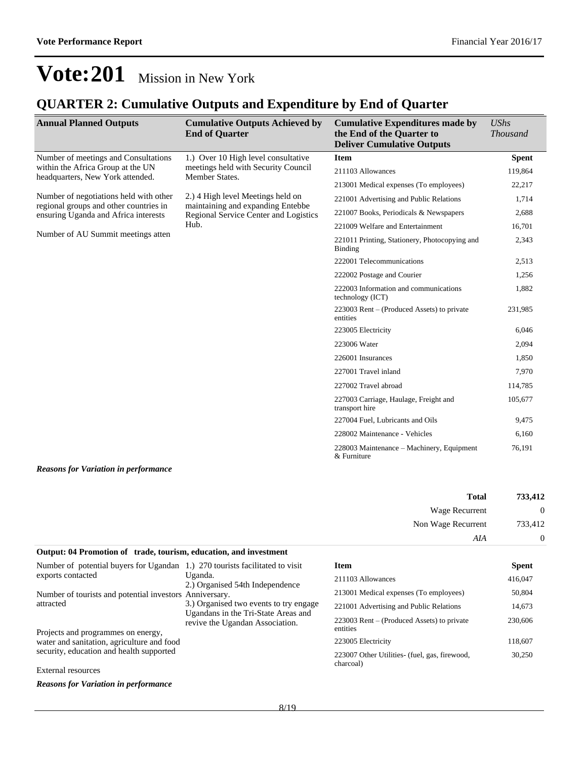### **QUARTER 2: Cumulative Outputs and Expenditure by End of Quarter**

| <b>Annual Planned Outputs</b>                                                  | <b>Cumulative Outputs Achieved by</b><br><b>End of Quarter</b>                               | <b>Cumulative Expenditures made by</b><br>the End of the Quarter to<br><b>Deliver Cumulative Outputs</b> | <b>UShs</b><br><b>Thousand</b> |
|--------------------------------------------------------------------------------|----------------------------------------------------------------------------------------------|----------------------------------------------------------------------------------------------------------|--------------------------------|
| Number of meetings and Consultations                                           | 1.) Over 10 High level consultative<br>meetings held with Security Council<br>Member States. | <b>Item</b>                                                                                              | <b>Spent</b>                   |
| within the Africa Group at the UN<br>headquarters, New York attended.          |                                                                                              | 211103 Allowances                                                                                        | 119,864                        |
|                                                                                |                                                                                              | 213001 Medical expenses (To employees)                                                                   | 22,217                         |
| Number of negotiations held with other                                         | 2.) 4 High level Meetings held on                                                            | 221001 Advertising and Public Relations                                                                  | 1,714                          |
| regional groups and other countries in<br>ensuring Uganda and Africa interests | maintaining and expanding Entebbe<br>Regional Service Center and Logistics                   | 221007 Books, Periodicals & Newspapers                                                                   | 2,688                          |
|                                                                                | Hub.                                                                                         | 221009 Welfare and Entertainment                                                                         | 16,701                         |
| Number of AU Summit meetings atten                                             |                                                                                              | 221011 Printing, Stationery, Photocopying and<br><b>Binding</b>                                          | 2,343                          |
|                                                                                |                                                                                              | 222001 Telecommunications                                                                                | 2,513                          |
|                                                                                |                                                                                              | 222002 Postage and Courier                                                                               | 1,256                          |
|                                                                                |                                                                                              | 222003 Information and communications<br>technology (ICT)                                                | 1,882                          |
|                                                                                |                                                                                              | $223003$ Rent – (Produced Assets) to private<br>entities                                                 | 231,985                        |
|                                                                                |                                                                                              | 223005 Electricity                                                                                       | 6,046                          |
|                                                                                |                                                                                              | 223006 Water                                                                                             | 2,094                          |
|                                                                                |                                                                                              | 226001 Insurances                                                                                        | 1,850                          |
|                                                                                |                                                                                              | 227001 Travel inland                                                                                     | 7,970                          |
|                                                                                |                                                                                              | 227002 Travel abroad                                                                                     | 114,785                        |
|                                                                                |                                                                                              | 227003 Carriage, Haulage, Freight and<br>transport hire                                                  | 105,677                        |
|                                                                                |                                                                                              | 227004 Fuel, Lubricants and Oils                                                                         | 9,475                          |
|                                                                                |                                                                                              | 228002 Maintenance - Vehicles                                                                            | 6,160                          |
|                                                                                |                                                                                              | 228003 Maintenance – Machinery, Equipment<br>& Furniture                                                 | 76,191                         |
| <b>Reasons for Variation in performance</b>                                    |                                                                                              |                                                                                                          |                                |

| 733,412        | <b>Total</b>       |
|----------------|--------------------|
| $\overline{0}$ | Wage Recurrent     |
| 733,412        | Non Wage Recurrent |
| $\overline{0}$ | AIA                |

#### **Output: 04 Promotion of trade, tourism, education, and investment**

| Number of potential buyers for Ugandan 1.) 270 tourists facilitated to visit |                                                                               | <b>Item</b>                                                 | <b>Spent</b> |
|------------------------------------------------------------------------------|-------------------------------------------------------------------------------|-------------------------------------------------------------|--------------|
| exports contacted                                                            | Uganda.<br>2.) Organised 54th Independence                                    | 211103 Allowances                                           | 416,047      |
| Number of tourists and potential investors Anniversary.                      |                                                                               | 213001 Medical expenses (To employees)                      | 50,804       |
| attracted                                                                    | 3.) Organised two events to try engage<br>Ugandans in the Tri-State Areas and | 221001 Advertising and Public Relations                     | 14,673       |
| Projects and programmes on energy,                                           | revive the Ugandan Association.                                               | $223003$ Rent – (Produced Assets) to private<br>entities    | 230,606      |
| water and sanitation, agriculture and food                                   |                                                                               | 223005 Electricity                                          | 118,607      |
| security, education and health supported                                     |                                                                               | 223007 Other Utilities - (fuel, gas, firewood,<br>charcoal) | 30,250       |
| External resources                                                           |                                                                               |                                                             |              |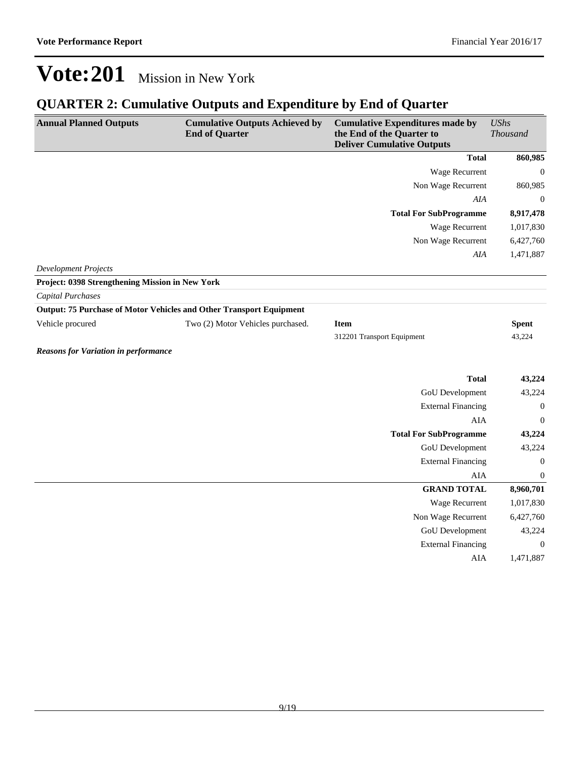## **QUARTER 2: Cumulative Outputs and Expenditure by End of Quarter**

| <b>Total</b><br>860,985<br><b>Wage Recurrent</b><br>$\boldsymbol{0}$<br>Non Wage Recurrent<br>860,985<br><b>AIA</b><br>$\boldsymbol{0}$<br><b>Total For SubProgramme</b><br>8,917,478<br>Wage Recurrent<br>1,017,830<br>Non Wage Recurrent<br>6,427,760<br>1,471,887<br>AIA<br><b>Development Projects</b><br>Project: 0398 Strengthening Mission in New York<br><b>Capital Purchases</b><br><b>Output: 75 Purchase of Motor Vehicles and Other Transport Equipment</b><br>Vehicle procured<br>Two (2) Motor Vehicles purchased.<br><b>Spent</b><br><b>Item</b><br>43,224<br>312201 Transport Equipment<br><b>Reasons for Variation in performance</b><br><b>Total</b><br>43,224<br><b>GoU</b> Development<br>43,224<br><b>External Financing</b><br>$\mathbf{0}$<br><b>AIA</b><br>$\mathbf{0}$<br><b>Total For SubProgramme</b><br>43,224<br><b>GoU</b> Development<br>43,224<br><b>External Financing</b><br>$\boldsymbol{0}$<br>AIA<br>$\mathbf{0}$<br><b>GRAND TOTAL</b><br>8,960,701<br>Wage Recurrent<br>1,017,830<br>6,427,760<br>Non Wage Recurrent<br><b>GoU</b> Development<br>43,224<br><b>External Financing</b><br>$\mathbf{0}$<br><b>AIA</b><br>1,471,887 | <b>Annual Planned Outputs</b> | <b>Cumulative Outputs Achieved by</b><br><b>End of Quarter</b> | <b>Cumulative Expenditures made by</b><br>the End of the Quarter to<br><b>Deliver Cumulative Outputs</b> | <b>UShs</b><br><b>Thousand</b> |
|-------------------------------------------------------------------------------------------------------------------------------------------------------------------------------------------------------------------------------------------------------------------------------------------------------------------------------------------------------------------------------------------------------------------------------------------------------------------------------------------------------------------------------------------------------------------------------------------------------------------------------------------------------------------------------------------------------------------------------------------------------------------------------------------------------------------------------------------------------------------------------------------------------------------------------------------------------------------------------------------------------------------------------------------------------------------------------------------------------------------------------------------------------------------------|-------------------------------|----------------------------------------------------------------|----------------------------------------------------------------------------------------------------------|--------------------------------|
|                                                                                                                                                                                                                                                                                                                                                                                                                                                                                                                                                                                                                                                                                                                                                                                                                                                                                                                                                                                                                                                                                                                                                                         |                               |                                                                |                                                                                                          |                                |
|                                                                                                                                                                                                                                                                                                                                                                                                                                                                                                                                                                                                                                                                                                                                                                                                                                                                                                                                                                                                                                                                                                                                                                         |                               |                                                                |                                                                                                          |                                |
|                                                                                                                                                                                                                                                                                                                                                                                                                                                                                                                                                                                                                                                                                                                                                                                                                                                                                                                                                                                                                                                                                                                                                                         |                               |                                                                |                                                                                                          |                                |
|                                                                                                                                                                                                                                                                                                                                                                                                                                                                                                                                                                                                                                                                                                                                                                                                                                                                                                                                                                                                                                                                                                                                                                         |                               |                                                                |                                                                                                          |                                |
|                                                                                                                                                                                                                                                                                                                                                                                                                                                                                                                                                                                                                                                                                                                                                                                                                                                                                                                                                                                                                                                                                                                                                                         |                               |                                                                |                                                                                                          |                                |
|                                                                                                                                                                                                                                                                                                                                                                                                                                                                                                                                                                                                                                                                                                                                                                                                                                                                                                                                                                                                                                                                                                                                                                         |                               |                                                                |                                                                                                          |                                |
|                                                                                                                                                                                                                                                                                                                                                                                                                                                                                                                                                                                                                                                                                                                                                                                                                                                                                                                                                                                                                                                                                                                                                                         |                               |                                                                |                                                                                                          |                                |
|                                                                                                                                                                                                                                                                                                                                                                                                                                                                                                                                                                                                                                                                                                                                                                                                                                                                                                                                                                                                                                                                                                                                                                         |                               |                                                                |                                                                                                          |                                |
|                                                                                                                                                                                                                                                                                                                                                                                                                                                                                                                                                                                                                                                                                                                                                                                                                                                                                                                                                                                                                                                                                                                                                                         |                               |                                                                |                                                                                                          |                                |
|                                                                                                                                                                                                                                                                                                                                                                                                                                                                                                                                                                                                                                                                                                                                                                                                                                                                                                                                                                                                                                                                                                                                                                         |                               |                                                                |                                                                                                          |                                |
|                                                                                                                                                                                                                                                                                                                                                                                                                                                                                                                                                                                                                                                                                                                                                                                                                                                                                                                                                                                                                                                                                                                                                                         |                               |                                                                |                                                                                                          |                                |
|                                                                                                                                                                                                                                                                                                                                                                                                                                                                                                                                                                                                                                                                                                                                                                                                                                                                                                                                                                                                                                                                                                                                                                         |                               |                                                                |                                                                                                          |                                |
|                                                                                                                                                                                                                                                                                                                                                                                                                                                                                                                                                                                                                                                                                                                                                                                                                                                                                                                                                                                                                                                                                                                                                                         |                               |                                                                |                                                                                                          |                                |
|                                                                                                                                                                                                                                                                                                                                                                                                                                                                                                                                                                                                                                                                                                                                                                                                                                                                                                                                                                                                                                                                                                                                                                         |                               |                                                                |                                                                                                          |                                |
|                                                                                                                                                                                                                                                                                                                                                                                                                                                                                                                                                                                                                                                                                                                                                                                                                                                                                                                                                                                                                                                                                                                                                                         |                               |                                                                |                                                                                                          |                                |
|                                                                                                                                                                                                                                                                                                                                                                                                                                                                                                                                                                                                                                                                                                                                                                                                                                                                                                                                                                                                                                                                                                                                                                         |                               |                                                                |                                                                                                          |                                |
|                                                                                                                                                                                                                                                                                                                                                                                                                                                                                                                                                                                                                                                                                                                                                                                                                                                                                                                                                                                                                                                                                                                                                                         |                               |                                                                |                                                                                                          |                                |
|                                                                                                                                                                                                                                                                                                                                                                                                                                                                                                                                                                                                                                                                                                                                                                                                                                                                                                                                                                                                                                                                                                                                                                         |                               |                                                                |                                                                                                          |                                |
|                                                                                                                                                                                                                                                                                                                                                                                                                                                                                                                                                                                                                                                                                                                                                                                                                                                                                                                                                                                                                                                                                                                                                                         |                               |                                                                |                                                                                                          |                                |
|                                                                                                                                                                                                                                                                                                                                                                                                                                                                                                                                                                                                                                                                                                                                                                                                                                                                                                                                                                                                                                                                                                                                                                         |                               |                                                                |                                                                                                          |                                |
|                                                                                                                                                                                                                                                                                                                                                                                                                                                                                                                                                                                                                                                                                                                                                                                                                                                                                                                                                                                                                                                                                                                                                                         |                               |                                                                |                                                                                                          |                                |
|                                                                                                                                                                                                                                                                                                                                                                                                                                                                                                                                                                                                                                                                                                                                                                                                                                                                                                                                                                                                                                                                                                                                                                         |                               |                                                                |                                                                                                          |                                |
|                                                                                                                                                                                                                                                                                                                                                                                                                                                                                                                                                                                                                                                                                                                                                                                                                                                                                                                                                                                                                                                                                                                                                                         |                               |                                                                |                                                                                                          |                                |
|                                                                                                                                                                                                                                                                                                                                                                                                                                                                                                                                                                                                                                                                                                                                                                                                                                                                                                                                                                                                                                                                                                                                                                         |                               |                                                                |                                                                                                          |                                |
|                                                                                                                                                                                                                                                                                                                                                                                                                                                                                                                                                                                                                                                                                                                                                                                                                                                                                                                                                                                                                                                                                                                                                                         |                               |                                                                |                                                                                                          |                                |
|                                                                                                                                                                                                                                                                                                                                                                                                                                                                                                                                                                                                                                                                                                                                                                                                                                                                                                                                                                                                                                                                                                                                                                         |                               |                                                                |                                                                                                          |                                |
|                                                                                                                                                                                                                                                                                                                                                                                                                                                                                                                                                                                                                                                                                                                                                                                                                                                                                                                                                                                                                                                                                                                                                                         |                               |                                                                |                                                                                                          |                                |
|                                                                                                                                                                                                                                                                                                                                                                                                                                                                                                                                                                                                                                                                                                                                                                                                                                                                                                                                                                                                                                                                                                                                                                         |                               |                                                                |                                                                                                          |                                |
|                                                                                                                                                                                                                                                                                                                                                                                                                                                                                                                                                                                                                                                                                                                                                                                                                                                                                                                                                                                                                                                                                                                                                                         |                               |                                                                |                                                                                                          |                                |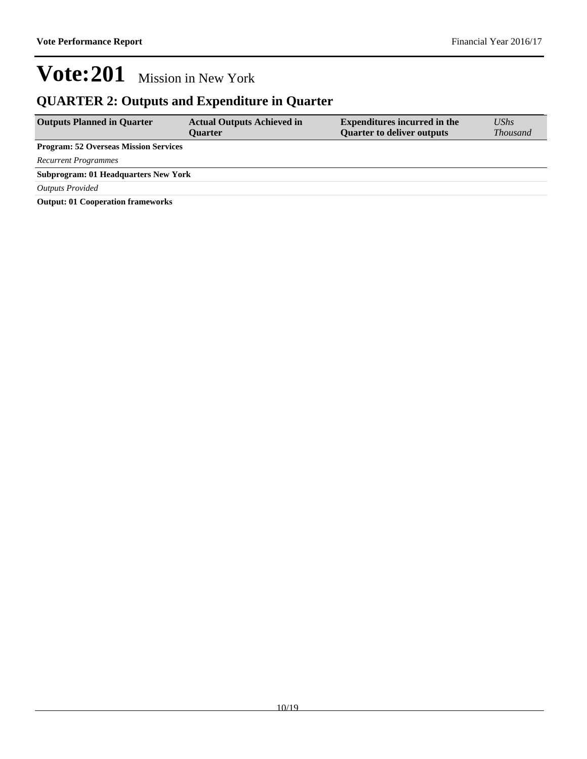### **QUARTER 2: Outputs and Expenditure in Quarter**

| <b>Outputs Planned in Quarter</b>            | <b>Actual Outputs Achieved in</b><br><b>Ouarter</b> | <b>Expenditures incurred in the</b><br><b>Quarter to deliver outputs</b> | $\mathit{UShs}$<br><i>Thousand</i> |
|----------------------------------------------|-----------------------------------------------------|--------------------------------------------------------------------------|------------------------------------|
| <b>Program: 52 Overseas Mission Services</b> |                                                     |                                                                          |                                    |
| <b>Recurrent Programmes</b>                  |                                                     |                                                                          |                                    |
| <b>Subprogram: 01 Headquarters New York</b>  |                                                     |                                                                          |                                    |
| <b>Outputs Provided</b>                      |                                                     |                                                                          |                                    |
| Output: 01 Cooperation frameworks            |                                                     |                                                                          |                                    |

**Output: 01 Cooperation frameworks**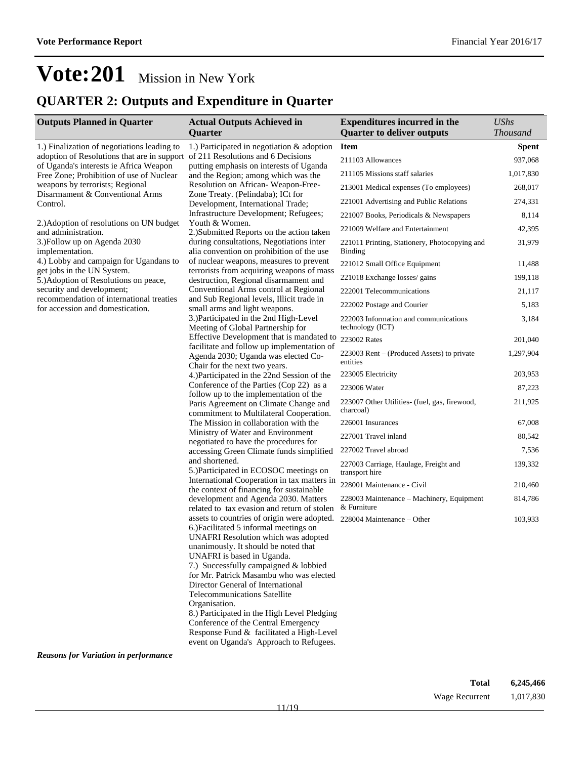### **QUARTER 2: Outputs and Expenditure in Quarter**

| <b>Outputs Planned in Quarter</b>                                                                                        | <b>Actual Outputs Achieved in</b>                                                                                                                                                                  | <b>Expenditures incurred in the</b>                             | <b>UShs</b>     |
|--------------------------------------------------------------------------------------------------------------------------|----------------------------------------------------------------------------------------------------------------------------------------------------------------------------------------------------|-----------------------------------------------------------------|-----------------|
|                                                                                                                          | Quarter                                                                                                                                                                                            | <b>Quarter to deliver outputs</b>                               | <b>Thousand</b> |
| 1.) Finalization of negotiations leading to                                                                              | 1.) Participated in negotiation $&$ adoption                                                                                                                                                       | <b>Item</b>                                                     | <b>Spent</b>    |
| adoption of Resolutions that are in support of 211 Resolutions and 6 Decisions<br>of Uganda's interests ie Africa Weapon | putting emphasis on interests of Uganda                                                                                                                                                            | 211103 Allowances                                               | 937,068         |
| Free Zone; Prohibition of use of Nuclear                                                                                 | and the Region; among which was the                                                                                                                                                                | 211105 Missions staff salaries                                  | 1,017,830       |
| weapons by terrorists; Regional                                                                                          | Resolution on African-Weapon-Free-                                                                                                                                                                 | 213001 Medical expenses (To employees)                          | 268,017         |
| Disarmament & Conventional Arms<br>Control.                                                                              | Zone Treaty. (Pelindaba); ICt for<br>Development, International Trade;                                                                                                                             | 221001 Advertising and Public Relations                         | 274,331         |
|                                                                                                                          | Infrastructure Development; Refugees;                                                                                                                                                              | 221007 Books, Periodicals & Newspapers                          | 8,114           |
| 2.) Adoption of resolutions on UN budget<br>and administration.                                                          | Youth & Women.<br>2.)Submitted Reports on the action taken                                                                                                                                         | 221009 Welfare and Entertainment                                | 42,395          |
| 3.) Follow up on Agenda 2030<br>implementation.                                                                          | during consultations, Negotiations inter<br>alia convention on prohibition of the use                                                                                                              | 221011 Printing, Stationery, Photocopying and<br><b>Binding</b> | 31,979          |
| 4.) Lobby and campaign for Ugandans to                                                                                   | of nuclear weapons, measures to prevent                                                                                                                                                            | 221012 Small Office Equipment                                   | 11,488          |
| get jobs in the UN System.<br>5.) Adoption of Resolutions on peace,                                                      | terrorists from acquiring weapons of mass<br>destruction, Regional disarmament and                                                                                                                 | 221018 Exchange losses/ gains                                   | 199,118         |
| security and development;                                                                                                | Conventional Arms control at Regional                                                                                                                                                              | 222001 Telecommunications                                       | 21,117          |
| recommendation of international treaties<br>for accession and domestication.                                             | and Sub Regional levels, Illicit trade in<br>small arms and light weapons.                                                                                                                         | 222002 Postage and Courier                                      | 5,183           |
|                                                                                                                          | 3.) Participated in the 2nd High-Level<br>Meeting of Global Partnership for                                                                                                                        | 222003 Information and communications<br>technology (ICT)       | 3,184           |
|                                                                                                                          | Effective Development that is mandated to                                                                                                                                                          | 223002 Rates                                                    | 201,040         |
|                                                                                                                          | facilitate and follow up implementation of<br>Agenda 2030; Uganda was elected Co-                                                                                                                  | 223003 Rent – (Produced Assets) to private<br>entities          | 1,297,904       |
|                                                                                                                          | Chair for the next two years.<br>4.) Participated in the 22nd Session of the                                                                                                                       | 223005 Electricity                                              | 203,953         |
|                                                                                                                          | Conference of the Parties (Cop 22) as a                                                                                                                                                            | 223006 Water                                                    | 87,223          |
|                                                                                                                          | follow up to the implementation of the                                                                                                                                                             | 223007 Other Utilities- (fuel, gas, firewood,                   | 211,925         |
|                                                                                                                          | Paris Agreement on Climate Change and<br>commitment to Multilateral Cooperation.                                                                                                                   | charcoal)                                                       |                 |
|                                                                                                                          | The Mission in collaboration with the                                                                                                                                                              | 226001 Insurances                                               | 67,008          |
|                                                                                                                          | Ministry of Water and Environment<br>negotiated to have the procedures for                                                                                                                         | 227001 Travel inland                                            | 80,542          |
|                                                                                                                          | accessing Green Climate funds simplified<br>and shortened.<br>5.) Participated in ECOSOC meetings on                                                                                               | 227002 Travel abroad                                            | 7,536           |
|                                                                                                                          |                                                                                                                                                                                                    | 227003 Carriage, Haulage, Freight and<br>transport hire         | 139,332         |
|                                                                                                                          | International Cooperation in tax matters in                                                                                                                                                        | 228001 Maintenance - Civil                                      | 210,460         |
|                                                                                                                          | the context of financing for sustainable<br>development and Agenda 2030. Matters<br>related to tax evasion and return of stolen                                                                    | 228003 Maintenance - Machinery, Equipment<br>& Furniture        | 814,786         |
|                                                                                                                          | assets to countries of origin were adopted.<br>6.) Facilitated 5 informal meetings on<br>UNAFRI Resolution which was adopted<br>unanimously. It should be noted that<br>UNAFRI is based in Uganda. | 228004 Maintenance – Other                                      | 103,933         |
|                                                                                                                          | 7.) Successfully campaigned & lobbied<br>for Mr. Patrick Masambu who was elected<br>Director General of International<br><b>Telecommunications Satellite</b>                                       |                                                                 |                 |
|                                                                                                                          | Organisation.<br>8.) Participated in the High Level Pledging<br>Conference of the Central Emergency<br>Response Fund & facilitated a High-Level<br>event on Uganda's Approach to Refugees.         |                                                                 |                 |

*Reasons for Variation in performance*

| Total          | 6,245,466 |
|----------------|-----------|
| Wage Recurrent | 1,017,830 |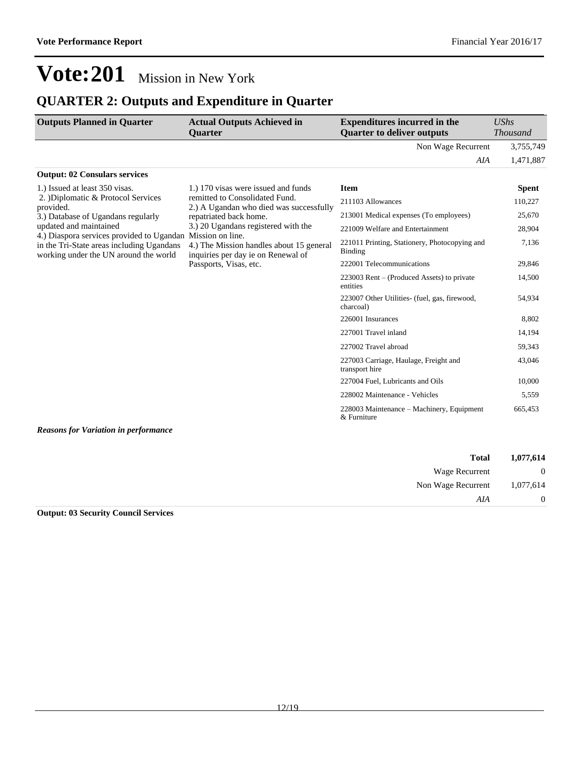54,934

43,046

665,453

## **Vote:201** Mission in New York

### **QUARTER 2: Outputs and Expenditure in Quarter**

| <b>Outputs Planned in Quarter</b>                                                                                               | <b>Actual Outputs Achieved in</b><br><b>Ouarter</b>                                                                          | <b>Expenditures incurred in the</b><br><b>Quarter to deliver outputs</b> | $\mathit{UShs}$<br><i>Thousand</i> |
|---------------------------------------------------------------------------------------------------------------------------------|------------------------------------------------------------------------------------------------------------------------------|--------------------------------------------------------------------------|------------------------------------|
|                                                                                                                                 |                                                                                                                              | Non Wage Recurrent                                                       | 3,755,749                          |
|                                                                                                                                 |                                                                                                                              | AIA                                                                      | 1,471,887                          |
| <b>Output: 02 Consulars services</b>                                                                                            |                                                                                                                              |                                                                          |                                    |
| 1.) Issued at least 350 visas.                                                                                                  | 1.) 170 visas were issued and funds                                                                                          | Item                                                                     | <b>Spent</b>                       |
| 2. Diplomatic & Protocol Services                                                                                               | remitted to Consolidated Fund.<br>2.) A Ugandan who died was successfully                                                    | 211103 Allowances                                                        | 110,227                            |
| provided.<br>3.) Database of Ugandans regularly                                                                                 | repatriated back home.                                                                                                       | 213001 Medical expenses (To employees)                                   | 25,670                             |
| updated and maintained                                                                                                          | 3.) 20 Ugandans registered with the                                                                                          | 221009 Welfare and Entertainment                                         | 28,904                             |
| 4.) Diaspora services provided to Ugandan<br>in the Tri-State areas including Ugandans<br>working under the UN around the world | Mission on line.<br>4.) The Mission handles about 15 general<br>inquiries per day ie on Renewal of<br>Passports, Visas, etc. | 221011 Printing, Stationery, Photocopying and<br><b>Binding</b>          | 7,136                              |
|                                                                                                                                 |                                                                                                                              | 222001 Telecommunications                                                | 29,846                             |
|                                                                                                                                 |                                                                                                                              | $223003$ Rent – (Produced Assets) to private                             | 14.500                             |

entities

charcoal)

transport hire

& Furniture

223007 Other Utilities- (fuel, gas, firewood,

227003 Carriage, Haulage, Freight and

228003 Maintenance - Machinery, Equipment

226001 Insurances 8,802 227001 Travel inland 14,194 227002 Travel abroad 59,343

227004 Fuel, Lubricants and Oils 10,000 228002 Maintenance - Vehicles 5,559

*Reasons for Variation in performance*

| 1,077,614      | <b>Total</b>       |
|----------------|--------------------|
| $\overline{0}$ | Wage Recurrent     |
| 1,077,614      | Non Wage Recurrent |
| $\overline{0}$ | AIA                |

#### **Output: 03 Security Council Services**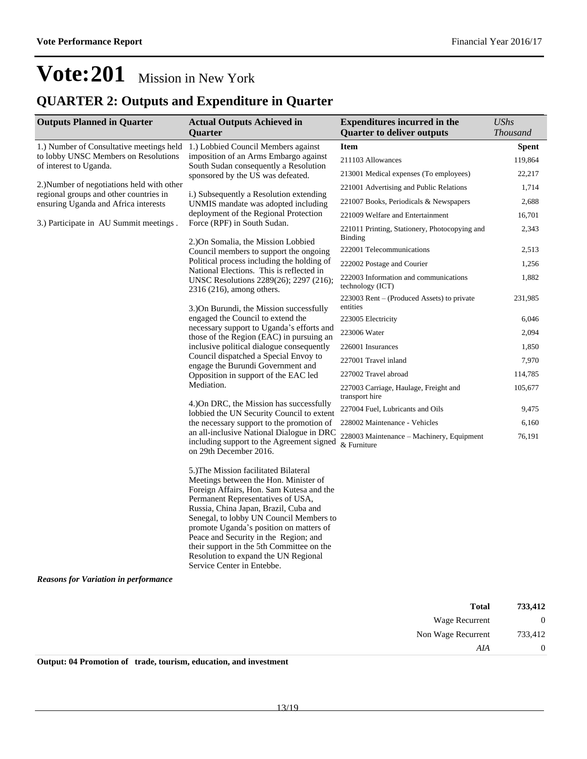### **QUARTER 2: Outputs and Expenditure in Quarter**

| <b>Outputs Planned in Quarter</b>                                                                                                                                                          | <b>Actual Outputs Achieved in</b>                                                                                                                                                                                                                                                                                                                                                                                                                                                                                                                                                                                                                                                                                                                                                                                                                                                                                                                                                                                                                                                                                                                                                                                                                                                                                                                                                                                                                                                                                                                                                                                                                                                                  | <b>Expenditures incurred in the</b>                       | <b>UShs</b>     |
|--------------------------------------------------------------------------------------------------------------------------------------------------------------------------------------------|----------------------------------------------------------------------------------------------------------------------------------------------------------------------------------------------------------------------------------------------------------------------------------------------------------------------------------------------------------------------------------------------------------------------------------------------------------------------------------------------------------------------------------------------------------------------------------------------------------------------------------------------------------------------------------------------------------------------------------------------------------------------------------------------------------------------------------------------------------------------------------------------------------------------------------------------------------------------------------------------------------------------------------------------------------------------------------------------------------------------------------------------------------------------------------------------------------------------------------------------------------------------------------------------------------------------------------------------------------------------------------------------------------------------------------------------------------------------------------------------------------------------------------------------------------------------------------------------------------------------------------------------------------------------------------------------------|-----------------------------------------------------------|-----------------|
|                                                                                                                                                                                            | Quarter                                                                                                                                                                                                                                                                                                                                                                                                                                                                                                                                                                                                                                                                                                                                                                                                                                                                                                                                                                                                                                                                                                                                                                                                                                                                                                                                                                                                                                                                                                                                                                                                                                                                                            | <b>Quarter to deliver outputs</b>                         | <b>Thousand</b> |
| 1.) Number of Consultative meetings held                                                                                                                                                   | 1.) Lobbied Council Members against                                                                                                                                                                                                                                                                                                                                                                                                                                                                                                                                                                                                                                                                                                                                                                                                                                                                                                                                                                                                                                                                                                                                                                                                                                                                                                                                                                                                                                                                                                                                                                                                                                                                | <b>Item</b>                                               | <b>Spent</b>    |
| to lobby UNSC Members on Resolutions<br>of interest to Uganda.<br>regional groups and other countries in<br>ensuring Uganda and Africa interests<br>3.) Participate in AU Summit meetings. |                                                                                                                                                                                                                                                                                                                                                                                                                                                                                                                                                                                                                                                                                                                                                                                                                                                                                                                                                                                                                                                                                                                                                                                                                                                                                                                                                                                                                                                                                                                                                                                                                                                                                                    | 211103 Allowances                                         | 119,864         |
|                                                                                                                                                                                            | imposition of an Arms Embargo against<br>South Sudan consequently a Resolution<br>sponsored by the US was defeated.<br>i.) Subsequently a Resolution extending<br>UNMIS mandate was adopted including<br>deployment of the Regional Protection<br>Force (RPF) in South Sudan.<br><b>Binding</b><br>2.) On Somalia, the Mission Lobbied<br>Council members to support the ongoing<br>Political process including the holding of<br>National Elections. This is reflected in<br>UNSC Resolutions 2289(26); 2297 (216);<br>$2316(216)$ , among others.<br>entities<br>3. On Burundi, the Mission successfully<br>engaged the Council to extend the<br>necessary support to Uganda's efforts and<br>223006 Water<br>those of the Region (EAC) in pursuing an<br>inclusive political dialogue consequently<br>Council dispatched a Special Envoy to<br>engage the Burundi Government and<br>Opposition in support of the EAC led<br>Mediation.<br>transport hire<br>4.) On DRC, the Mission has successfully<br>lobbied the UN Security Council to extent<br>the necessary support to the promotion of<br>an all-inclusive National Dialogue in DRC<br>including support to the Agreement signed<br>& Furniture<br>on 29th December 2016.<br>5.) The Mission facilitated Bilateral<br>Meetings between the Hon. Minister of<br>Foreign Affairs, Hon. Sam Kutesa and the<br>Permanent Representatives of USA,<br>Russia, China Japan, Brazil, Cuba and<br>Senegal, to lobby UN Council Members to<br>promote Uganda's position on matters of<br>Peace and Security in the Region; and<br>their support in the 5th Committee on the<br>Resolution to expand the UN Regional<br>Service Center in Entebbe. | 213001 Medical expenses (To employees)                    | 22,217          |
| 2.) Number of negotiations held with other                                                                                                                                                 |                                                                                                                                                                                                                                                                                                                                                                                                                                                                                                                                                                                                                                                                                                                                                                                                                                                                                                                                                                                                                                                                                                                                                                                                                                                                                                                                                                                                                                                                                                                                                                                                                                                                                                    | 221001 Advertising and Public Relations                   | 1,714           |
|                                                                                                                                                                                            |                                                                                                                                                                                                                                                                                                                                                                                                                                                                                                                                                                                                                                                                                                                                                                                                                                                                                                                                                                                                                                                                                                                                                                                                                                                                                                                                                                                                                                                                                                                                                                                                                                                                                                    | 221007 Books, Periodicals & Newspapers                    | 2,688           |
|                                                                                                                                                                                            |                                                                                                                                                                                                                                                                                                                                                                                                                                                                                                                                                                                                                                                                                                                                                                                                                                                                                                                                                                                                                                                                                                                                                                                                                                                                                                                                                                                                                                                                                                                                                                                                                                                                                                    | 221009 Welfare and Entertainment                          | 16,701          |
|                                                                                                                                                                                            |                                                                                                                                                                                                                                                                                                                                                                                                                                                                                                                                                                                                                                                                                                                                                                                                                                                                                                                                                                                                                                                                                                                                                                                                                                                                                                                                                                                                                                                                                                                                                                                                                                                                                                    | 221011 Printing, Stationery, Photocopying and             | 2,343           |
|                                                                                                                                                                                            |                                                                                                                                                                                                                                                                                                                                                                                                                                                                                                                                                                                                                                                                                                                                                                                                                                                                                                                                                                                                                                                                                                                                                                                                                                                                                                                                                                                                                                                                                                                                                                                                                                                                                                    | 222001 Telecommunications                                 | 2,513           |
|                                                                                                                                                                                            |                                                                                                                                                                                                                                                                                                                                                                                                                                                                                                                                                                                                                                                                                                                                                                                                                                                                                                                                                                                                                                                                                                                                                                                                                                                                                                                                                                                                                                                                                                                                                                                                                                                                                                    | 222002 Postage and Courier                                | 1,256           |
|                                                                                                                                                                                            |                                                                                                                                                                                                                                                                                                                                                                                                                                                                                                                                                                                                                                                                                                                                                                                                                                                                                                                                                                                                                                                                                                                                                                                                                                                                                                                                                                                                                                                                                                                                                                                                                                                                                                    | 222003 Information and communications<br>technology (ICT) | 1,882           |
|                                                                                                                                                                                            |                                                                                                                                                                                                                                                                                                                                                                                                                                                                                                                                                                                                                                                                                                                                                                                                                                                                                                                                                                                                                                                                                                                                                                                                                                                                                                                                                                                                                                                                                                                                                                                                                                                                                                    | $223003$ Rent – (Produced Assets) to private              | 231,985         |
|                                                                                                                                                                                            |                                                                                                                                                                                                                                                                                                                                                                                                                                                                                                                                                                                                                                                                                                                                                                                                                                                                                                                                                                                                                                                                                                                                                                                                                                                                                                                                                                                                                                                                                                                                                                                                                                                                                                    | 223005 Electricity                                        | 6,046           |
|                                                                                                                                                                                            |                                                                                                                                                                                                                                                                                                                                                                                                                                                                                                                                                                                                                                                                                                                                                                                                                                                                                                                                                                                                                                                                                                                                                                                                                                                                                                                                                                                                                                                                                                                                                                                                                                                                                                    |                                                           | 2,094           |
|                                                                                                                                                                                            |                                                                                                                                                                                                                                                                                                                                                                                                                                                                                                                                                                                                                                                                                                                                                                                                                                                                                                                                                                                                                                                                                                                                                                                                                                                                                                                                                                                                                                                                                                                                                                                                                                                                                                    | 226001 Insurances                                         | 1,850           |
|                                                                                                                                                                                            |                                                                                                                                                                                                                                                                                                                                                                                                                                                                                                                                                                                                                                                                                                                                                                                                                                                                                                                                                                                                                                                                                                                                                                                                                                                                                                                                                                                                                                                                                                                                                                                                                                                                                                    | 227001 Travel inland                                      | 7,970           |
|                                                                                                                                                                                            |                                                                                                                                                                                                                                                                                                                                                                                                                                                                                                                                                                                                                                                                                                                                                                                                                                                                                                                                                                                                                                                                                                                                                                                                                                                                                                                                                                                                                                                                                                                                                                                                                                                                                                    | 227002 Travel abroad                                      | 114,785         |
|                                                                                                                                                                                            |                                                                                                                                                                                                                                                                                                                                                                                                                                                                                                                                                                                                                                                                                                                                                                                                                                                                                                                                                                                                                                                                                                                                                                                                                                                                                                                                                                                                                                                                                                                                                                                                                                                                                                    | 227003 Carriage, Haulage, Freight and                     | 105,677         |
|                                                                                                                                                                                            |                                                                                                                                                                                                                                                                                                                                                                                                                                                                                                                                                                                                                                                                                                                                                                                                                                                                                                                                                                                                                                                                                                                                                                                                                                                                                                                                                                                                                                                                                                                                                                                                                                                                                                    | 227004 Fuel, Lubricants and Oils                          | 9,475           |
|                                                                                                                                                                                            |                                                                                                                                                                                                                                                                                                                                                                                                                                                                                                                                                                                                                                                                                                                                                                                                                                                                                                                                                                                                                                                                                                                                                                                                                                                                                                                                                                                                                                                                                                                                                                                                                                                                                                    | 228002 Maintenance - Vehicles                             | 6,160           |
|                                                                                                                                                                                            |                                                                                                                                                                                                                                                                                                                                                                                                                                                                                                                                                                                                                                                                                                                                                                                                                                                                                                                                                                                                                                                                                                                                                                                                                                                                                                                                                                                                                                                                                                                                                                                                                                                                                                    | 228003 Maintenance – Machinery, Equipment                 | 76,191          |
|                                                                                                                                                                                            |                                                                                                                                                                                                                                                                                                                                                                                                                                                                                                                                                                                                                                                                                                                                                                                                                                                                                                                                                                                                                                                                                                                                                                                                                                                                                                                                                                                                                                                                                                                                                                                                                                                                                                    |                                                           |                 |
| <b>Reasons for Variation in performance</b>                                                                                                                                                |                                                                                                                                                                                                                                                                                                                                                                                                                                                                                                                                                                                                                                                                                                                                                                                                                                                                                                                                                                                                                                                                                                                                                                                                                                                                                                                                                                                                                                                                                                                                                                                                                                                                                                    |                                                           |                 |

| 733,412        | <b>Total</b>       |
|----------------|--------------------|
| $\overline{0}$ | Wage Recurrent     |
| 733,412        | Non Wage Recurrent |
| $\overline{0}$ | AIA                |

**Output: 04 Promotion of trade, tourism, education, and investment**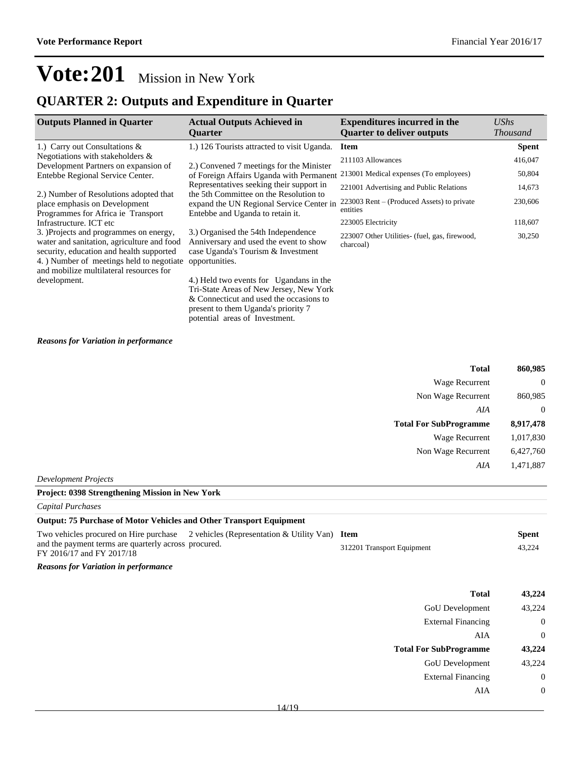### **QUARTER 2: Outputs and Expenditure in Quarter**

| <b>Outputs Planned in Quarter</b>                                                                                                                                                                                        | <b>Actual Outputs Achieved in</b><br><b>Ouarter</b>                                                                                                                                                    | <b>Expenditures incurred in the</b><br><b>Quarter to deliver outputs</b> | <b>UShs</b><br><b>Thousand</b> |
|--------------------------------------------------------------------------------------------------------------------------------------------------------------------------------------------------------------------------|--------------------------------------------------------------------------------------------------------------------------------------------------------------------------------------------------------|--------------------------------------------------------------------------|--------------------------------|
| 1.) Carry out Consultations &                                                                                                                                                                                            | 1.) 126 Tourists attracted to visit Uganda.                                                                                                                                                            | <b>Item</b>                                                              | <b>Spent</b>                   |
| Negotiations with stakeholders $\&$                                                                                                                                                                                      |                                                                                                                                                                                                        | 211103 Allowances                                                        | 416,047                        |
| Development Partners on expansion of<br>Entebbe Regional Service Center.                                                                                                                                                 | 2.) Convened 7 meetings for the Minister<br>of Foreign Affairs Uganda with Permanent                                                                                                                   | 213001 Medical expenses (To employees)                                   | 50,804                         |
|                                                                                                                                                                                                                          | Representatives seeking their support in                                                                                                                                                               | 221001 Advertising and Public Relations                                  | 14,673                         |
| 2.) Number of Resolutions adopted that<br>place emphasis on Development<br>Programmes for Africa ie Transport                                                                                                            | the 5th Committee on the Resolution to<br>expand the UN Regional Service Center in<br>Entebbe and Uganda to retain it.                                                                                 | 223003 Rent – (Produced Assets) to private<br>entities                   | 230,606                        |
| Infrastructure. ICT etc                                                                                                                                                                                                  |                                                                                                                                                                                                        | 223005 Electricity                                                       | 118,607                        |
| 3. )Projects and programmes on energy,<br>water and sanitation, agriculture and food<br>security, education and health supported<br>4. ) Number of meetings held to negotiate<br>and mobilize multilateral resources for | 3.) Organised the 54th Independence<br>Anniversary and used the event to show<br>case Uganda's Tourism & Investment<br>opportunities.                                                                  | 223007 Other Utilities- (fuel, gas, firewood,<br>charcoal)               | 30,250                         |
| development.                                                                                                                                                                                                             | 4.) Held two events for Ugandans in the<br>Tri-State Areas of New Jersey, New York<br>& Connecticut and used the occasions to<br>present to them Uganda's priority 7<br>potential areas of Investment. |                                                                          |                                |

#### *Reasons for Variation in performance*

| 860,985        | <b>Total</b>                  |
|----------------|-------------------------------|
| $\mathbf{0}$   | Wage Recurrent                |
| 860,985        | Non Wage Recurrent            |
| $\overline{0}$ | AIA                           |
| 8,917,478      | <b>Total For SubProgramme</b> |
| 1,017,830      | <b>Wage Recurrent</b>         |
| 6,427,760      | Non Wage Recurrent            |
| 1,471,887      | AIA                           |
|                |                               |

*Development Projects*

#### **Project: 0398 Strengthening Mission in New York**

| Capital Purchases                                                                                           |                            |              |
|-------------------------------------------------------------------------------------------------------------|----------------------------|--------------|
| <b>Output: 75 Purchase of Motor Vehicles and Other Transport Equipment</b>                                  |                            |              |
| Two vehicles procured on Hire purchase $\sim$ 2 vehicles (Representation & Utility Van) Item                |                            | <b>Spent</b> |
| and the payment terms are quarterly across procured.<br>$\Gamma V \Omega 016/17$ J $\Gamma V \Omega 017/10$ | 312201 Transport Equipment | 43.224       |

### FY 2016/17 and FY 2017/18

| Total                         | 43,224 |
|-------------------------------|--------|
| <b>GoU</b> Development        | 43,224 |
| <b>External Financing</b>     | 0      |
| AIA                           | 0      |
|                               |        |
| <b>Total For SubProgramme</b> | 43,224 |
| <b>GoU</b> Development        | 43,224 |
| <b>External Financing</b>     | 0      |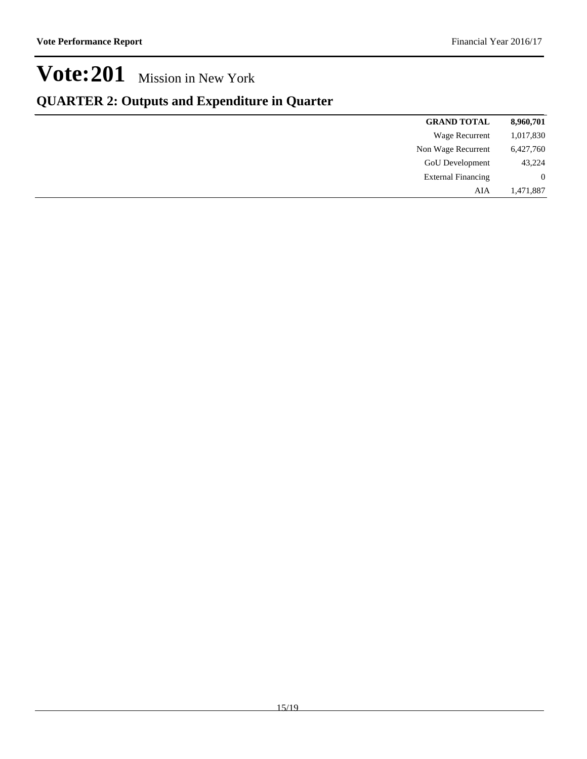### **QUARTER 2: Outputs and Expenditure in Quarter**

| 8,960,701      | <b>GRAND TOTAL</b>        |
|----------------|---------------------------|
| 1,017,830      | Wage Recurrent            |
| 6,427,760      | Non Wage Recurrent        |
| 43,224         | <b>GoU</b> Development    |
| $\overline{0}$ | <b>External Financing</b> |
| 1,471,887      | AIA                       |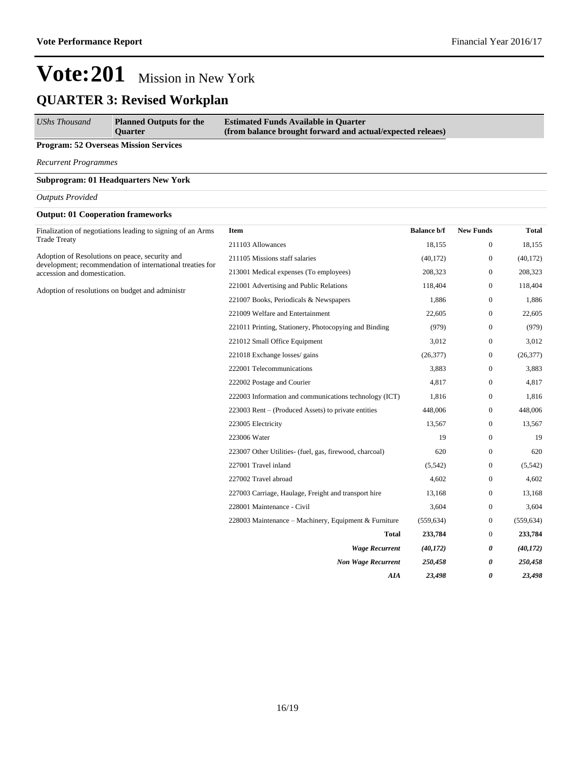## **QUARTER 3: Revised Workplan**

| <b>UShs Thousand</b><br><b>Planned Outputs for the</b><br><b>Ouarter</b> | <b>Estimated Funds Available in Quarter</b><br>(from balance brought forward and actual/expected releaes) |
|--------------------------------------------------------------------------|-----------------------------------------------------------------------------------------------------------|
|--------------------------------------------------------------------------|-----------------------------------------------------------------------------------------------------------|

#### **Program: 52 Overseas Mission Services**

*Recurrent Programmes*

#### **Subprogram: 01 Headquarters New York**

#### *Outputs Provided*

#### **Output: 01 Cooperation frameworks**

| Finalization of negotiations leading to signing of an Arms                                                  | Item                                                    | <b>Balance b/f</b> | <b>New Funds</b> | <b>Total</b> |
|-------------------------------------------------------------------------------------------------------------|---------------------------------------------------------|--------------------|------------------|--------------|
| <b>Trade Treaty</b>                                                                                         | 211103 Allowances                                       | 18,155             | $\mathbf{0}$     | 18,155       |
| Adoption of Resolutions on peace, security and<br>development; recommendation of international treaties for | 211105 Missions staff salaries                          | (40, 172)          | $\mathbf{0}$     | (40, 172)    |
| accession and domestication.                                                                                | 213001 Medical expenses (To employees)                  | 208,323            | $\mathbf{0}$     | 208,323      |
| Adoption of resolutions on budget and administr                                                             | 221001 Advertising and Public Relations                 | 118,404            | $\mathbf{0}$     | 118,404      |
|                                                                                                             | 221007 Books, Periodicals & Newspapers                  | 1,886              | $\theta$         | 1,886        |
|                                                                                                             | 221009 Welfare and Entertainment                        | 22,605             | $\mathbf{0}$     | 22,605       |
|                                                                                                             | 221011 Printing, Stationery, Photocopying and Binding   | (979)              | $\mathbf{0}$     | (979)        |
|                                                                                                             | 221012 Small Office Equipment                           | 3,012              | $\mathbf{0}$     | 3,012        |
|                                                                                                             | 221018 Exchange losses/ gains                           | (26, 377)          | $\mathbf{0}$     | (26, 377)    |
|                                                                                                             | 222001 Telecommunications                               | 3,883              | $\boldsymbol{0}$ | 3,883        |
|                                                                                                             | 222002 Postage and Courier                              | 4,817              | $\mathbf{0}$     | 4,817        |
|                                                                                                             | 222003 Information and communications technology (ICT)  | 1,816              | $\mathbf{0}$     | 1,816        |
|                                                                                                             | 223003 Rent – (Produced Assets) to private entities     | 448,006            | $\mathbf{0}$     | 448,006      |
|                                                                                                             | 223005 Electricity                                      | 13,567             | $\mathbf{0}$     | 13,567       |
|                                                                                                             | 223006 Water                                            | 19                 | $\overline{0}$   | 19           |
|                                                                                                             | 223007 Other Utilities- (fuel, gas, firewood, charcoal) | 620                | $\mathbf{0}$     | 620          |
|                                                                                                             | 227001 Travel inland                                    | (5,542)            | $\mathbf{0}$     | (5,542)      |
|                                                                                                             | 227002 Travel abroad                                    | 4,602              | $\overline{0}$   | 4,602        |
|                                                                                                             | 227003 Carriage, Haulage, Freight and transport hire    | 13,168             | $\mathbf{0}$     | 13,168       |
|                                                                                                             | 228001 Maintenance - Civil                              | 3,604              | $\theta$         | 3,604        |
|                                                                                                             | 228003 Maintenance - Machinery, Equipment & Furniture   | (559, 634)         | $\mathbf{0}$     | (559, 634)   |
|                                                                                                             | <b>Total</b>                                            | 233,784            | $\mathbf{0}$     | 233,784      |
|                                                                                                             | <b>Wage Recurrent</b>                                   | (40, 172)          | 0                | (40, 172)    |
|                                                                                                             | <b>Non Wage Recurrent</b>                               | 250,458            | 0                | 250,458      |
|                                                                                                             | AIA                                                     | 23,498             | 0                | 23,498       |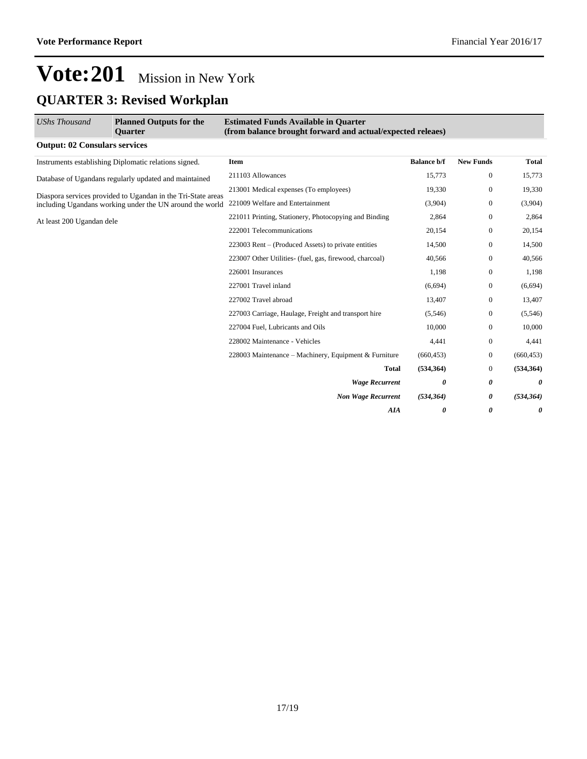## **Vote:201** Mission in New York **QUARTER 3: Revised Workplan**

| <b>UShs Thousand</b>                 | <b>Planned Outputs for the</b><br><b>Ouarter</b>             | <b>Estimated Funds Available in Quarter</b><br>(from balance brought forward and actual/expected releaes) |                    |                       |              |
|--------------------------------------|--------------------------------------------------------------|-----------------------------------------------------------------------------------------------------------|--------------------|-----------------------|--------------|
| <b>Output: 02 Consulars services</b> |                                                              |                                                                                                           |                    |                       |              |
|                                      | Instruments establishing Diplomatic relations signed.        | Item                                                                                                      | <b>Balance b/f</b> | <b>New Funds</b>      | <b>Total</b> |
|                                      | Database of Ugandans regularly updated and maintained        | 211103 Allowances                                                                                         | 15,773             | $\boldsymbol{0}$      | 15,773       |
|                                      | Diaspora services provided to Ugandan in the Tri-State areas | 213001 Medical expenses (To employees)                                                                    | 19,330             | $\mathbf{0}$          | 19,330       |
|                                      | including Ugandans working under the UN around the world     | 221009 Welfare and Entertainment                                                                          | (3,904)            | $\mathbf{0}$          | (3,904)      |
| At least 200 Ugandan dele            |                                                              | 221011 Printing, Stationery, Photocopying and Binding                                                     | 2,864              | $\mathbf{0}$          | 2,864        |
|                                      |                                                              | 222001 Telecommunications                                                                                 | 20,154             | $\mathbf{0}$          | 20,154       |
|                                      |                                                              | 223003 Rent – (Produced Assets) to private entities                                                       | 14,500             | $\boldsymbol{0}$      | 14,500       |
|                                      |                                                              | 223007 Other Utilities- (fuel, gas, firewood, charcoal)                                                   | 40,566             | $\mathbf{0}$          | 40,566       |
|                                      |                                                              | 226001 Insurances                                                                                         | 1,198              | $\mathbf{0}$          | 1,198        |
|                                      |                                                              | 227001 Travel inland                                                                                      | (6,694)            | $\mathbf{0}$          | (6,694)      |
|                                      |                                                              | 227002 Travel abroad                                                                                      | 13,407             | $\mathbf{0}$          | 13,407       |
|                                      |                                                              | 227003 Carriage, Haulage, Freight and transport hire                                                      | (5,546)            | $\mathbf{0}$          | (5,546)      |
|                                      |                                                              | 227004 Fuel, Lubricants and Oils                                                                          | 10.000             | $\mathbf{0}$          | 10,000       |
|                                      |                                                              | 228002 Maintenance - Vehicles                                                                             | 4,441              | $\boldsymbol{0}$      | 4,441        |
|                                      |                                                              | 228003 Maintenance – Machinery, Equipment & Furniture                                                     | (660, 453)         | $\mathbf{0}$          | (660, 453)   |
|                                      |                                                              | <b>Total</b>                                                                                              | (534, 364)         | $\boldsymbol{0}$      | (534, 364)   |
|                                      |                                                              | <b>Wage Recurrent</b>                                                                                     | 0                  | 0                     | 0            |
|                                      |                                                              | <b>Non Wage Recurrent</b>                                                                                 | (534, 364)         | 0                     | (534, 364)   |
|                                      |                                                              | <b>AIA</b>                                                                                                | 0                  | $\boldsymbol{\theta}$ | 0            |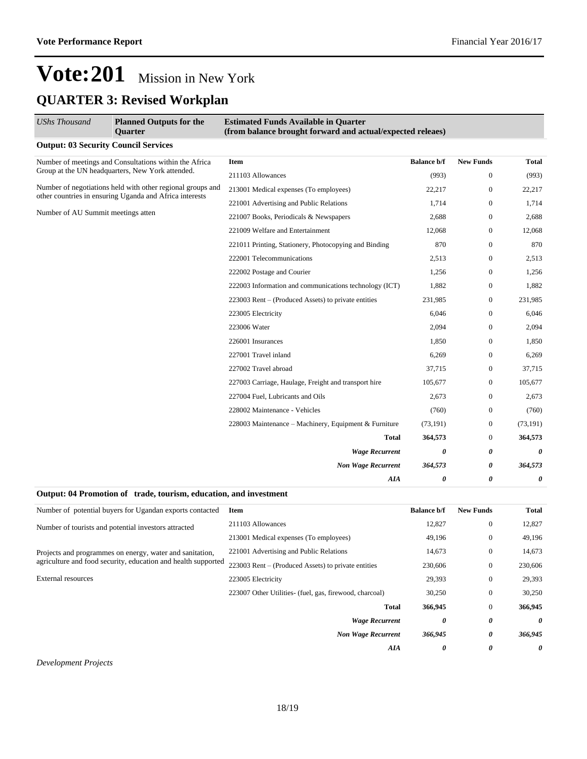## **Vote:201** Mission in New York **QUARTER 3: Revised Workplan**

| <b>UShs Thousand</b>                                                                                                  | <b>Planned Outputs for the</b><br><b>Ouarter</b> | <b>Estimated Funds Available in Quarter</b><br>(from balance brought forward and actual/expected releaes) |                    |                  |              |  |
|-----------------------------------------------------------------------------------------------------------------------|--------------------------------------------------|-----------------------------------------------------------------------------------------------------------|--------------------|------------------|--------------|--|
| <b>Output: 03 Security Council Services</b>                                                                           |                                                  |                                                                                                           |                    |                  |              |  |
| Number of meetings and Consultations within the Africa<br>Group at the UN headquarters, New York attended.            |                                                  | <b>Item</b>                                                                                               | <b>Balance b/f</b> | <b>New Funds</b> | <b>Total</b> |  |
|                                                                                                                       |                                                  | 211103 Allowances                                                                                         | (993)              | $\overline{0}$   | (993)        |  |
| Number of negotiations held with other regional groups and<br>other countries in ensuring Uganda and Africa interests |                                                  | 213001 Medical expenses (To employees)                                                                    | 22,217             | $\boldsymbol{0}$ | 22,217       |  |
|                                                                                                                       |                                                  | 221001 Advertising and Public Relations                                                                   | 1,714              | $\boldsymbol{0}$ | 1,714        |  |
| Number of AU Summit meetings atten                                                                                    |                                                  | 221007 Books, Periodicals & Newspapers                                                                    | 2,688              | $\mathbf{0}$     | 2,688        |  |
|                                                                                                                       |                                                  | 221009 Welfare and Entertainment                                                                          | 12,068             | $\overline{0}$   | 12,068       |  |
|                                                                                                                       |                                                  | 221011 Printing, Stationery, Photocopying and Binding                                                     | 870                | $\mathbf{0}$     | 870          |  |
|                                                                                                                       |                                                  | 222001 Telecommunications                                                                                 | 2,513              | 0                | 2,513        |  |
|                                                                                                                       |                                                  | 222002 Postage and Courier                                                                                | 1,256              | $\overline{0}$   | 1,256        |  |
|                                                                                                                       |                                                  | 222003 Information and communications technology (ICT)                                                    | 1,882              | $\mathbf{0}$     | 1,882        |  |
|                                                                                                                       |                                                  | 223003 Rent – (Produced Assets) to private entities                                                       | 231,985            | $\mathbf{0}$     | 231,985      |  |
|                                                                                                                       |                                                  | 223005 Electricity                                                                                        | 6,046              | $\boldsymbol{0}$ | 6,046        |  |
|                                                                                                                       | 223006 Water                                     | 2,094                                                                                                     | $\boldsymbol{0}$   | 2,094            |              |  |
|                                                                                                                       | 226001 Insurances                                | 1,850                                                                                                     | 0                  | 1,850            |              |  |
|                                                                                                                       |                                                  | 227001 Travel inland                                                                                      | 6,269              | $\overline{0}$   | 6,269        |  |
|                                                                                                                       |                                                  | 227002 Travel abroad                                                                                      | 37,715             | $\overline{0}$   | 37,715       |  |
|                                                                                                                       |                                                  | 227003 Carriage, Haulage, Freight and transport hire                                                      | 105,677            | $\mathbf{0}$     | 105,677      |  |
|                                                                                                                       |                                                  | 227004 Fuel, Lubricants and Oils                                                                          | 2,673              | $\mathbf{0}$     | 2,673        |  |
|                                                                                                                       |                                                  | 228002 Maintenance - Vehicles                                                                             | (760)              | $\boldsymbol{0}$ | (760)        |  |
|                                                                                                                       |                                                  | 228003 Maintenance – Machinery, Equipment & Furniture                                                     | (73, 191)          | 0                | (73, 191)    |  |
|                                                                                                                       |                                                  | <b>Total</b>                                                                                              | 364,573            | $\mathbf{0}$     | 364,573      |  |
|                                                                                                                       |                                                  | <b>Wage Recurrent</b>                                                                                     | 0                  | 0                | 0            |  |
|                                                                                                                       |                                                  | <b>Non Wage Recurrent</b>                                                                                 | 364,573            | 0                | 364,573      |  |
|                                                                                                                       |                                                  | AIA                                                                                                       | 0                  | 0                | 0            |  |

#### **Output: 04 Promotion of trade, tourism, education, and investment**

| Number of potential buyers for Ugandan exports contacted      | Item                                                    | <b>Balance b/f</b> | <b>New Funds</b> | Total   |
|---------------------------------------------------------------|---------------------------------------------------------|--------------------|------------------|---------|
| Number of tourists and potential investors attracted          | 211103 Allowances                                       | 12,827             | $\mathbf{0}$     | 12,827  |
|                                                               | 213001 Medical expenses (To employees)                  | 49.196             | $\mathbf{0}$     | 49,196  |
| Projects and programmes on energy, water and sanitation,      | 221001 Advertising and Public Relations                 | 14,673             | $\mathbf{0}$     | 14,673  |
| agriculture and food security, education and health supported | 223003 Rent – (Produced Assets) to private entities     | 230,606            | $\mathbf{0}$     | 230,606 |
| <b>External resources</b>                                     | 223005 Electricity                                      | 29,393             | $\mathbf{0}$     | 29,393  |
|                                                               | 223007 Other Utilities- (fuel, gas, firewood, charcoal) | 30,250             | $\mathbf{0}$     | 30,250  |
|                                                               | Total                                                   | 366,945            | $\mathbf{0}$     | 366,945 |
| <b>Wage Recurrent</b>                                         |                                                         |                    | 0                | 0       |
|                                                               | <b>Non Wage Recurrent</b>                               | 366,945            | 0                | 366,945 |
|                                                               | AIA                                                     | 0                  | 0                | 0       |
|                                                               |                                                         |                    |                  |         |

*Development Projects*